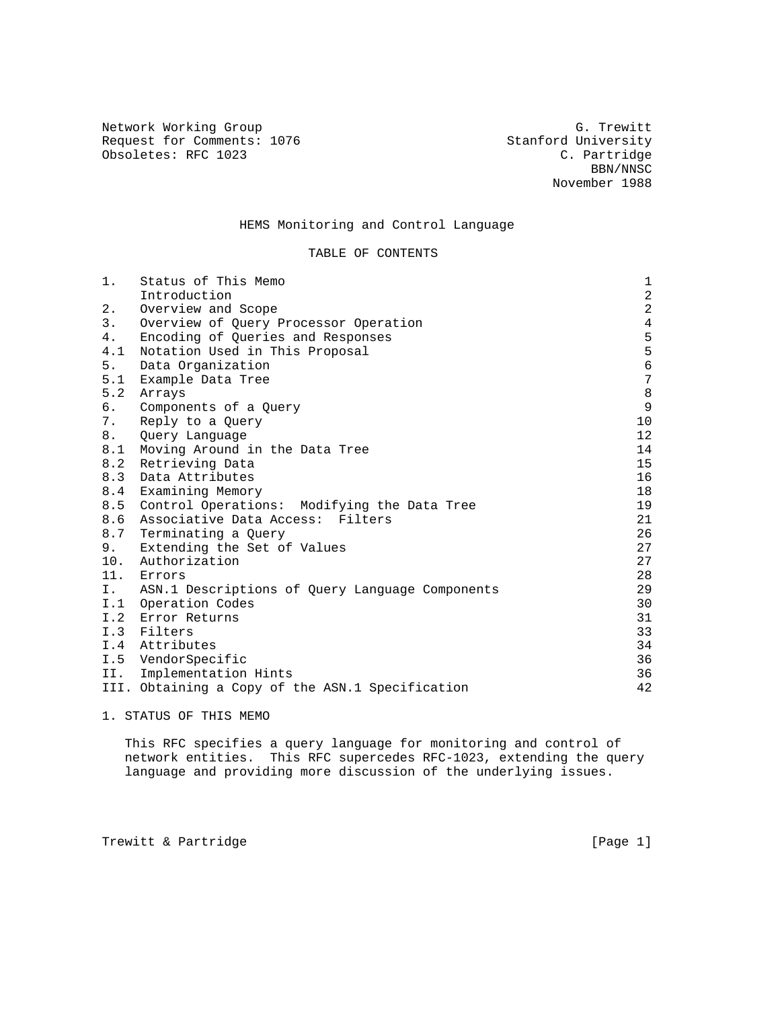Network Working Group<br>Request for Comments: 1076 G. Trewitt Request for Comments: 1076 Stanford University<br>
Obsoletes: RFC 1023 C. Partridge Obsoletes: RFC 1023

 BBN/NNSC November 1988

# HEMS Monitoring and Control Language

# TABLE OF CONTENTS

| 1.  | Status of This Memo                                | $\mathbf 1$    |
|-----|----------------------------------------------------|----------------|
|     | Introduction                                       | $\overline{a}$ |
| 2.  | Overview and Scope                                 | $\overline{a}$ |
| 3.  | Overview of Query Processor Operation              | $\overline{4}$ |
| 4.  | Encoding of Oueries and Responses                  | 5              |
| 4.1 | Notation Used in This Proposal                     | 5              |
| 5.  | Data Organization                                  | $\epsilon$     |
| 5.1 | Example Data Tree                                  | $\sqrt{ }$     |
| 5.2 | Arrays                                             | $\,8\,$        |
| 6.  | Components of a Query                              | $\mathsf 9$    |
| 7.  | Reply to a Query                                   | 10             |
| 8.  | Query Language                                     | 12             |
| 8.1 | Moving Around in the Data Tree                     | 14             |
| 8.2 | Retrieving Data                                    | 15             |
| 8.3 | Data Attributes                                    | 16             |
| 8.4 | Examining Memory                                   | 18             |
| 8.5 | Control Operations: Modifying the Data Tree        | 19             |
| 8.6 | Associative Data Access: Filters                   | 21             |
|     | 8.7 Terminating a Query                            | 26             |
| 9.  | Extending the Set of Values                        | 27             |
| 10. | Authorization                                      | 27             |
|     | 11. Errors                                         | 28             |
|     | I. ASN.1 Descriptions of Query Language Components | 29             |
|     | I.1 Operation Codes                                | 30             |
| I.2 | Error Returns                                      | 31             |
|     | I.3 Filters                                        | 33             |
|     | I.4 Attributes                                     | 34             |
|     | I.5 VendorSpecific                                 | 36             |
| II. | Implementation Hints                               | 36             |
|     | III. Obtaining a Copy of the ASN.1 Specification   | 42             |

1. STATUS OF THIS MEMO

 This RFC specifies a query language for monitoring and control of network entities. This RFC supercedes RFC-1023, extending the query language and providing more discussion of the underlying issues.

Trewitt & Partridge **Execute 2** (Page 1)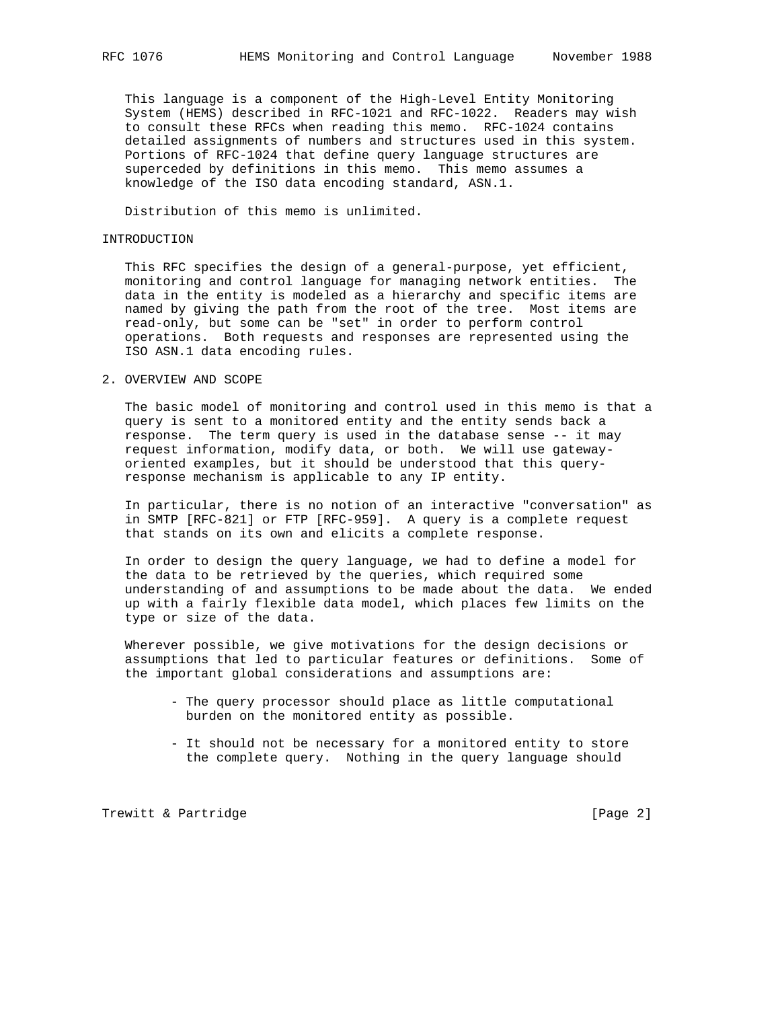This language is a component of the High-Level Entity Monitoring System (HEMS) described in RFC-1021 and RFC-1022. Readers may wish to consult these RFCs when reading this memo. RFC-1024 contains detailed assignments of numbers and structures used in this system. Portions of RFC-1024 that define query language structures are superceded by definitions in this memo. This memo assumes a knowledge of the ISO data encoding standard, ASN.1.

Distribution of this memo is unlimited.

#### INTRODUCTION

 This RFC specifies the design of a general-purpose, yet efficient, monitoring and control language for managing network entities. The data in the entity is modeled as a hierarchy and specific items are named by giving the path from the root of the tree. Most items are read-only, but some can be "set" in order to perform control operations. Both requests and responses are represented using the ISO ASN.1 data encoding rules.

### 2. OVERVIEW AND SCOPE

 The basic model of monitoring and control used in this memo is that a query is sent to a monitored entity and the entity sends back a response. The term query is used in the database sense -- it may request information, modify data, or both. We will use gateway oriented examples, but it should be understood that this query response mechanism is applicable to any IP entity.

 In particular, there is no notion of an interactive "conversation" as in SMTP [RFC-821] or FTP [RFC-959]. A query is a complete request that stands on its own and elicits a complete response.

 In order to design the query language, we had to define a model for the data to be retrieved by the queries, which required some understanding of and assumptions to be made about the data. We ended up with a fairly flexible data model, which places few limits on the type or size of the data.

 Wherever possible, we give motivations for the design decisions or assumptions that led to particular features or definitions. Some of the important global considerations and assumptions are:

- The query processor should place as little computational burden on the monitored entity as possible.
- It should not be necessary for a monitored entity to store the complete query. Nothing in the query language should

Trewitt & Partridge  $[Page 2]$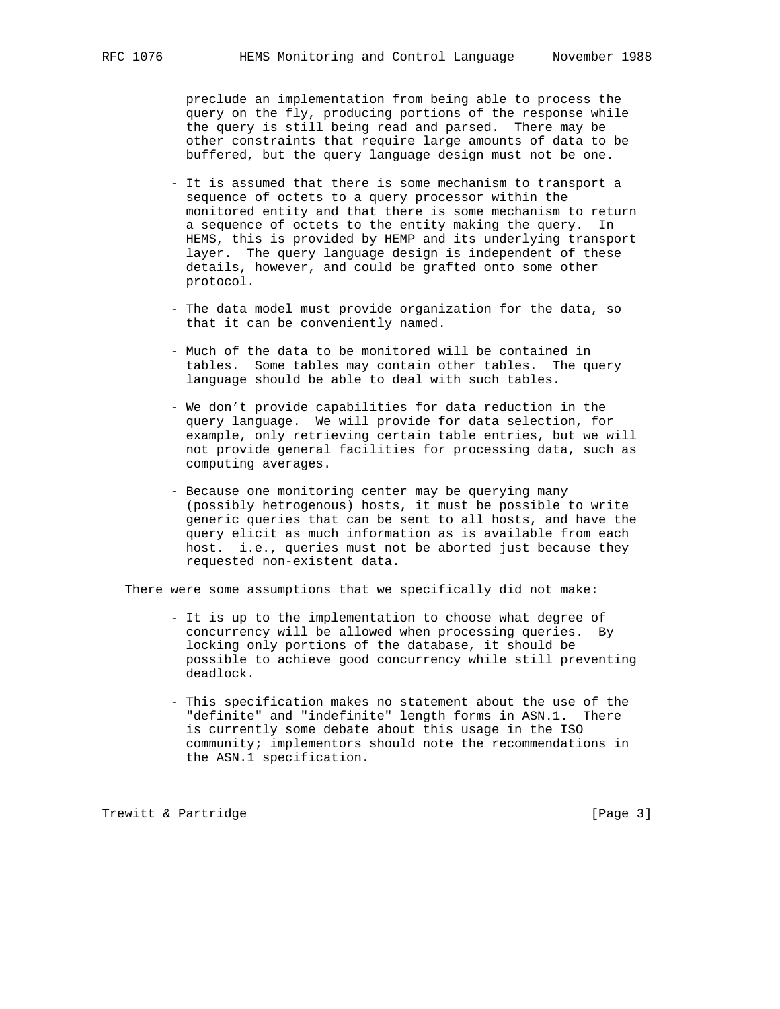preclude an implementation from being able to process the query on the fly, producing portions of the response while the query is still being read and parsed. There may be other constraints that require large amounts of data to be buffered, but the query language design must not be one.

- It is assumed that there is some mechanism to transport a sequence of octets to a query processor within the monitored entity and that there is some mechanism to return a sequence of octets to the entity making the query. In HEMS, this is provided by HEMP and its underlying transport layer. The query language design is independent of these details, however, and could be grafted onto some other protocol.
- The data model must provide organization for the data, so that it can be conveniently named.
- Much of the data to be monitored will be contained in tables. Some tables may contain other tables. The query language should be able to deal with such tables.
- We don't provide capabilities for data reduction in the query language. We will provide for data selection, for example, only retrieving certain table entries, but we will not provide general facilities for processing data, such as computing averages.
- Because one monitoring center may be querying many (possibly hetrogenous) hosts, it must be possible to write generic queries that can be sent to all hosts, and have the query elicit as much information as is available from each host. i.e., queries must not be aborted just because they requested non-existent data.

There were some assumptions that we specifically did not make:

- It is up to the implementation to choose what degree of concurrency will be allowed when processing queries. By locking only portions of the database, it should be possible to achieve good concurrency while still preventing deadlock.
- This specification makes no statement about the use of the "definite" and "indefinite" length forms in ASN.1. There is currently some debate about this usage in the ISO community; implementors should note the recommendations in the ASN.1 specification.

Trewitt & Partridge extending the state of the state of the state of the state of the state of the state of the state of the state of the state of the state of the state of the state of the state of the state of the state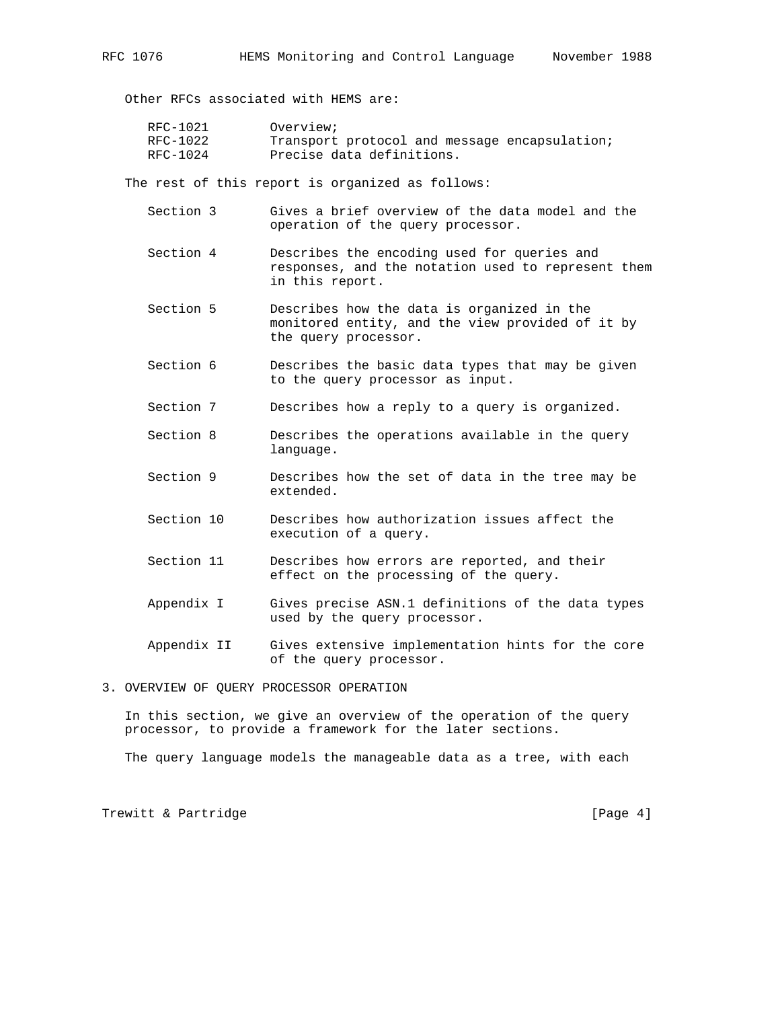Other RFCs associated with HEMS are:

| RFC-1021 | Overview;                                     |
|----------|-----------------------------------------------|
| RFC-1022 | Transport protocol and message encapsulation; |
| RFC-1024 | Precise data definitions.                     |

The rest of this report is organized as follows:

- Section 3 Gives a brief overview of the data model and the operation of the query processor.
- Section 4 Describes the encoding used for queries and responses, and the notation used to represent them in this report.
- Section 5 Describes how the data is organized in the monitored entity, and the view provided of it by the query processor.
- Section 6 Describes the basic data types that may be given to the query processor as input.
- Section 7 Describes how a reply to a query is organized.
- Section 8 Describes the operations available in the query language.
- Section 9 Describes how the set of data in the tree may be extended.
- Section 10 Describes how authorization issues affect the execution of a query.
- Section 11 Describes how errors are reported, and their effect on the processing of the query.
- Appendix I Gives precise ASN.1 definitions of the data types used by the query processor.
- Appendix II Gives extensive implementation hints for the core of the query processor.

# 3. OVERVIEW OF QUERY PROCESSOR OPERATION

 In this section, we give an overview of the operation of the query processor, to provide a framework for the later sections.

The query language models the manageable data as a tree, with each

Trewitt & Partridge  $[Page 4]$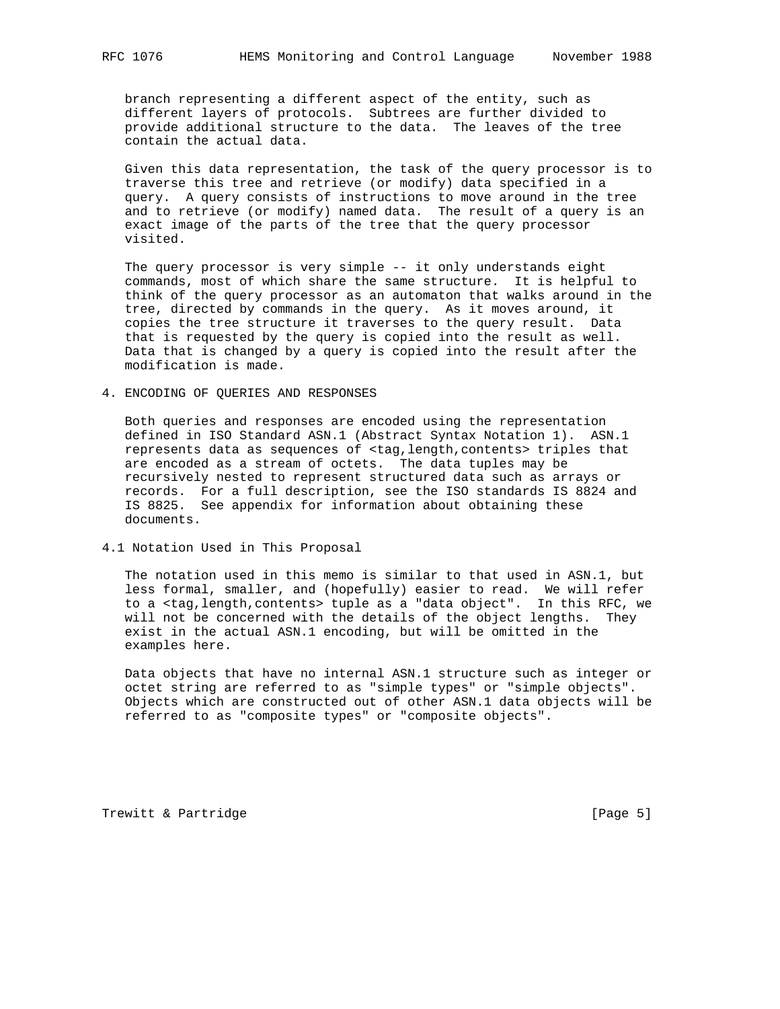branch representing a different aspect of the entity, such as different layers of protocols. Subtrees are further divided to provide additional structure to the data. The leaves of the tree contain the actual data.

 Given this data representation, the task of the query processor is to traverse this tree and retrieve (or modify) data specified in a query. A query consists of instructions to move around in the tree and to retrieve (or modify) named data. The result of a query is an exact image of the parts of the tree that the query processor visited.

 The query processor is very simple -- it only understands eight commands, most of which share the same structure. It is helpful to think of the query processor as an automaton that walks around in the tree, directed by commands in the query. As it moves around, it copies the tree structure it traverses to the query result. Data that is requested by the query is copied into the result as well. Data that is changed by a query is copied into the result after the modification is made.

4. ENCODING OF QUERIES AND RESPONSES

 Both queries and responses are encoded using the representation defined in ISO Standard ASN.1 (Abstract Syntax Notation 1). ASN.1 represents data as sequences of <tag,length,contents> triples that are encoded as a stream of octets. The data tuples may be recursively nested to represent structured data such as arrays or records. For a full description, see the ISO standards IS 8824 and IS 8825. See appendix for information about obtaining these documents.

4.1 Notation Used in This Proposal

 The notation used in this memo is similar to that used in ASN.1, but less formal, smaller, and (hopefully) easier to read. We will refer to a <tag,length,contents> tuple as a "data object". In this RFC, we will not be concerned with the details of the object lengths. They exist in the actual ASN.1 encoding, but will be omitted in the examples here.

 Data objects that have no internal ASN.1 structure such as integer or octet string are referred to as "simple types" or "simple objects". Objects which are constructed out of other ASN.1 data objects will be referred to as "composite types" or "composite objects".

Trewitt & Partridge Trewitt & Partridge Trewitt & Partridge Communication of the Communication of the Communication of the Communication of the Communication of the Communication of the Communication of the Communication o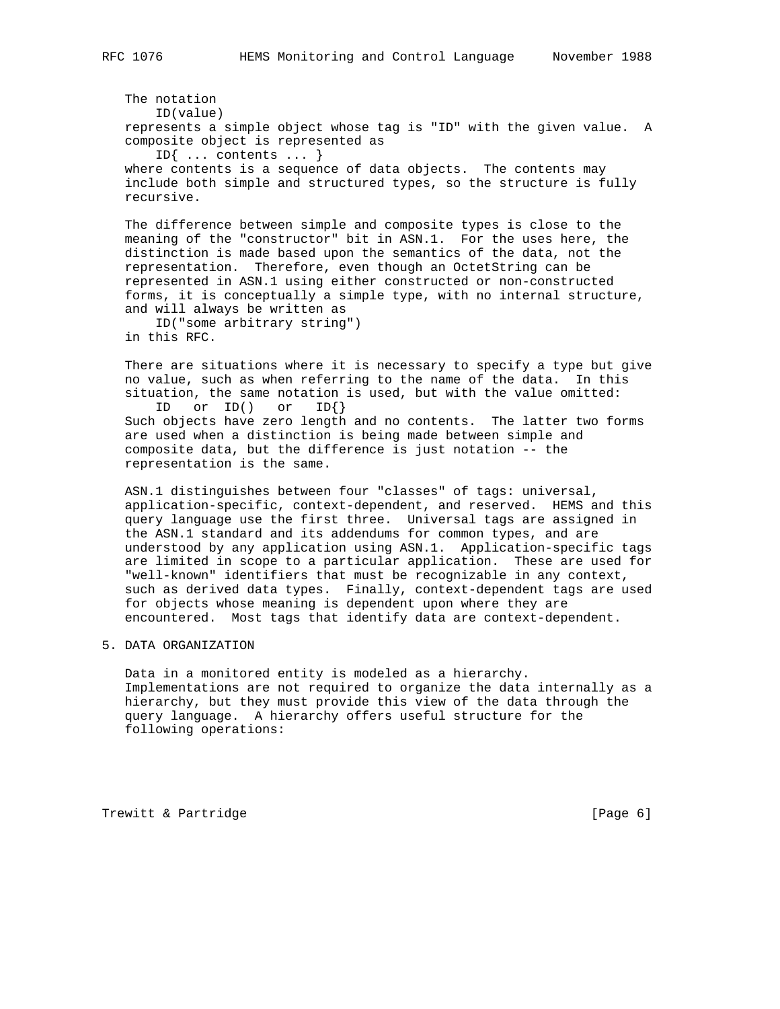The notation ID(value) represents a simple object whose tag is "ID" with the given value. A composite object is represented as ID{ ... contents ... } where contents is a sequence of data objects. The contents may include both simple and structured types, so the structure is fully recursive.

 The difference between simple and composite types is close to the meaning of the "constructor" bit in ASN.1. For the uses here, the distinction is made based upon the semantics of the data, not the representation. Therefore, even though an OctetString can be represented in ASN.1 using either constructed or non-constructed forms, it is conceptually a simple type, with no internal structure, and will always be written as

 ID("some arbitrary string") in this RFC.

 There are situations where it is necessary to specify a type but give no value, such as when referring to the name of the data. In this situation, the same notation is used, but with the value omitted:

 ID or ID() or ID{} Such objects have zero length and no contents. The latter two forms are used when a distinction is being made between simple and composite data, but the difference is just notation -- the representation is the same.

 ASN.1 distinguishes between four "classes" of tags: universal, application-specific, context-dependent, and reserved. HEMS and this query language use the first three. Universal tags are assigned in the ASN.1 standard and its addendums for common types, and are understood by any application using ASN.1. Application-specific tags are limited in scope to a particular application. These are used for "well-known" identifiers that must be recognizable in any context, such as derived data types. Finally, context-dependent tags are used for objects whose meaning is dependent upon where they are encountered. Most tags that identify data are context-dependent.

## 5. DATA ORGANIZATION

 Data in a monitored entity is modeled as a hierarchy. Implementations are not required to organize the data internally as a hierarchy, but they must provide this view of the data through the query language. A hierarchy offers useful structure for the following operations:

Trewitt & Partridge  $[Page 6]$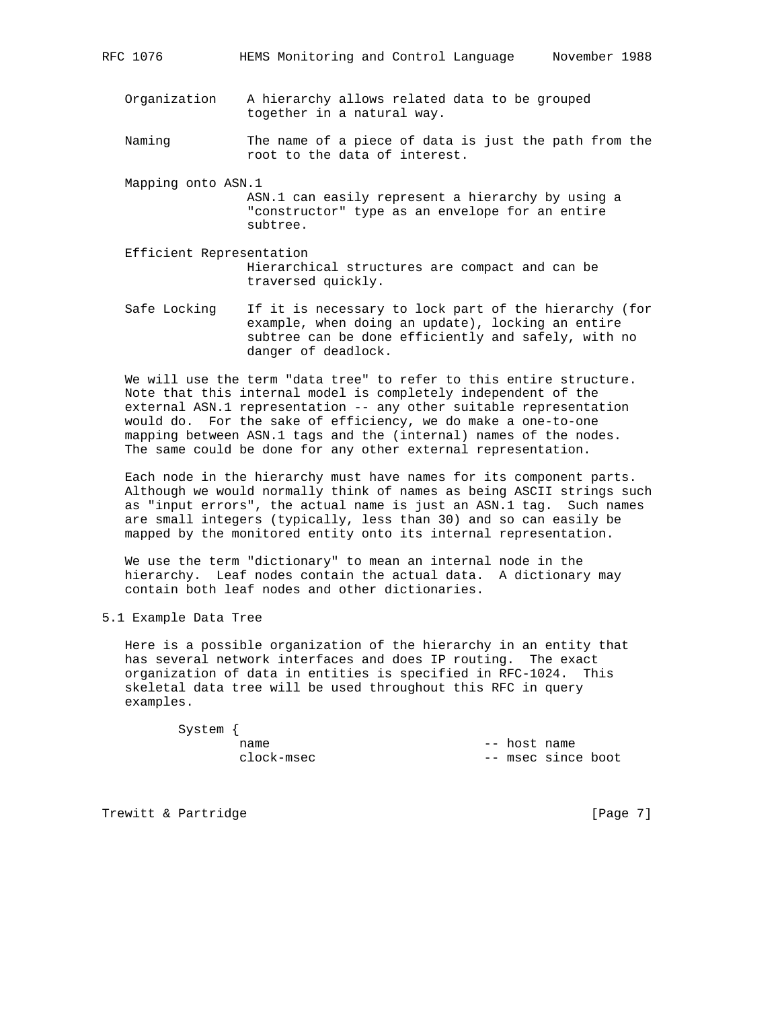- Organization A hierarchy allows related data to be grouped together in a natural way.
- Naming The name of a piece of data is just the path from the root to the data of interest.
- Mapping onto ASN.1 ASN.1 can easily represent a hierarchy by using a "constructor" type as an envelope for an entire subtree.
- Efficient Representation Hierarchical structures are compact and can be traversed quickly.
- Safe Locking If it is necessary to lock part of the hierarchy (for example, when doing an update), locking an entire subtree can be done efficiently and safely, with no danger of deadlock.

 We will use the term "data tree" to refer to this entire structure. Note that this internal model is completely independent of the external ASN.1 representation -- any other suitable representation would do. For the sake of efficiency, we do make a one-to-one mapping between ASN.1 tags and the (internal) names of the nodes. The same could be done for any other external representation.

 Each node in the hierarchy must have names for its component parts. Although we would normally think of names as being ASCII strings such as "input errors", the actual name is just an ASN.1 tag. Such names are small integers (typically, less than 30) and so can easily be mapped by the monitored entity onto its internal representation.

 We use the term "dictionary" to mean an internal node in the hierarchy. Leaf nodes contain the actual data. A dictionary may contain both leaf nodes and other dictionaries.

5.1 Example Data Tree

 Here is a possible organization of the hierarchy in an entity that has several network interfaces and does IP routing. The exact organization of data in entities is specified in RFC-1024. This skeletal data tree will be used throughout this RFC in query examples.

System {

name  $--$  host name clock-msec -- msec since boot

Trewitt & Partridge The Control of the Control of the Control of the Control of the Page 7]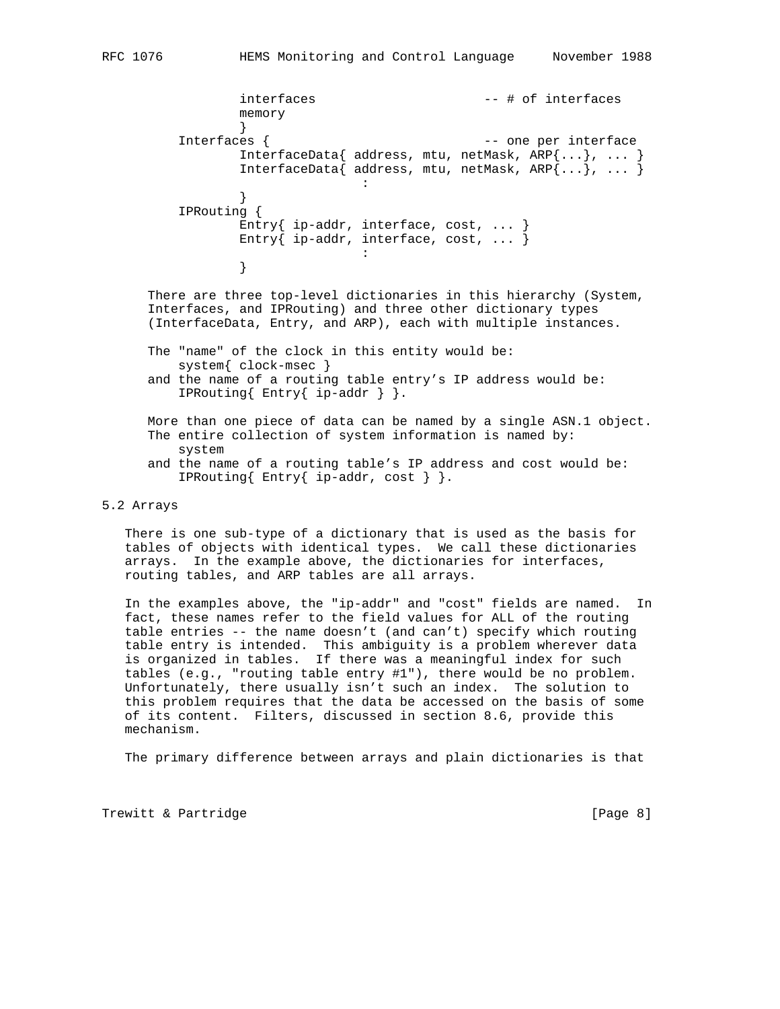```
interfaces -+ # of interfaces
                  memory
 }
         Interfaces { - one per interface
                  InterfaceData{ address, mtu, netMask, ARP{...}, ... }
                 InterfaceData{ address, mtu, netMask, ARP{...}, ...}
the contract of the contract of the contract of the contract of the contract of
 }
          IPRouting {
                  Entry{ ip-addr, interface, cost, ... }
                 Entry\{ ip-addr, interface, cost, ... \}the contract of the contract of the contract of the contract of
 }
```
 There are three top-level dictionaries in this hierarchy (System, Interfaces, and IPRouting) and three other dictionary types (InterfaceData, Entry, and ARP), each with multiple instances.

- The "name" of the clock in this entity would be: system{ clock-msec }
- and the name of a routing table entry's IP address would be: IPRouting{ Entry{ ip-addr } }.
- More than one piece of data can be named by a single ASN.1 object. The entire collection of system information is named by: system and the name of a routing table's IP address and cost would be:
- IPRouting{ Entry{ ip-addr, cost } }.

## 5.2 Arrays

 There is one sub-type of a dictionary that is used as the basis for tables of objects with identical types. We call these dictionaries arrays. In the example above, the dictionaries for interfaces, routing tables, and ARP tables are all arrays.

 In the examples above, the "ip-addr" and "cost" fields are named. In fact, these names refer to the field values for ALL of the routing table entries -- the name doesn't (and can't) specify which routing table entry is intended. This ambiguity is a problem wherever data is organized in tables. If there was a meaningful index for such tables (e.g., "routing table entry #1"), there would be no problem. Unfortunately, there usually isn't such an index. The solution to this problem requires that the data be accessed on the basis of some of its content. Filters, discussed in section 8.6, provide this mechanism.

The primary difference between arrays and plain dictionaries is that

Trewitt & Partridge and the control of the control of the control of the control of the control of the control of the control of the control of the control of the control of the control of the control of the control of the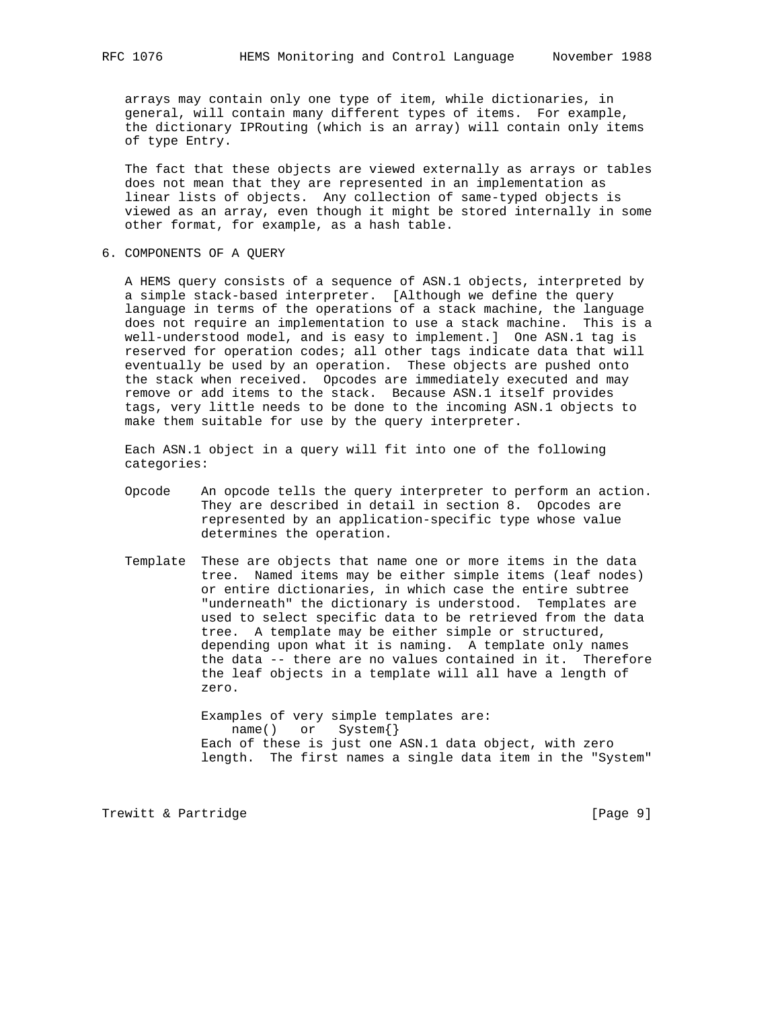arrays may contain only one type of item, while dictionaries, in general, will contain many different types of items. For example, the dictionary IPRouting (which is an array) will contain only items of type Entry.

 The fact that these objects are viewed externally as arrays or tables does not mean that they are represented in an implementation as linear lists of objects. Any collection of same-typed objects is viewed as an array, even though it might be stored internally in some other format, for example, as a hash table.

6. COMPONENTS OF A QUERY

 A HEMS query consists of a sequence of ASN.1 objects, interpreted by a simple stack-based interpreter. [Although we define the query language in terms of the operations of a stack machine, the language does not require an implementation to use a stack machine. This is a well-understood model, and is easy to implement.] One ASN.1 tag is reserved for operation codes; all other tags indicate data that will eventually be used by an operation. These objects are pushed onto the stack when received. Opcodes are immediately executed and may remove or add items to the stack. Because ASN.1 itself provides tags, very little needs to be done to the incoming ASN.1 objects to make them suitable for use by the query interpreter.

 Each ASN.1 object in a query will fit into one of the following categories:

- Opcode An opcode tells the query interpreter to perform an action. They are described in detail in section 8. Opcodes are represented by an application-specific type whose value determines the operation.
- Template These are objects that name one or more items in the data tree. Named items may be either simple items (leaf nodes) or entire dictionaries, in which case the entire subtree "underneath" the dictionary is understood. Templates are used to select specific data to be retrieved from the data tree. A template may be either simple or structured, depending upon what it is naming. A template only names the data -- there are no values contained in it. Therefore the leaf objects in a template will all have a length of zero.

 Examples of very simple templates are: name() or System{} Each of these is just one ASN.1 data object, with zero length. The first names a single data item in the "System"

Trewitt & Partridge Trewitt & Partridge and the control of the control of the control of the control of the control of the control of the control of the control of the control of the control of the control of the control o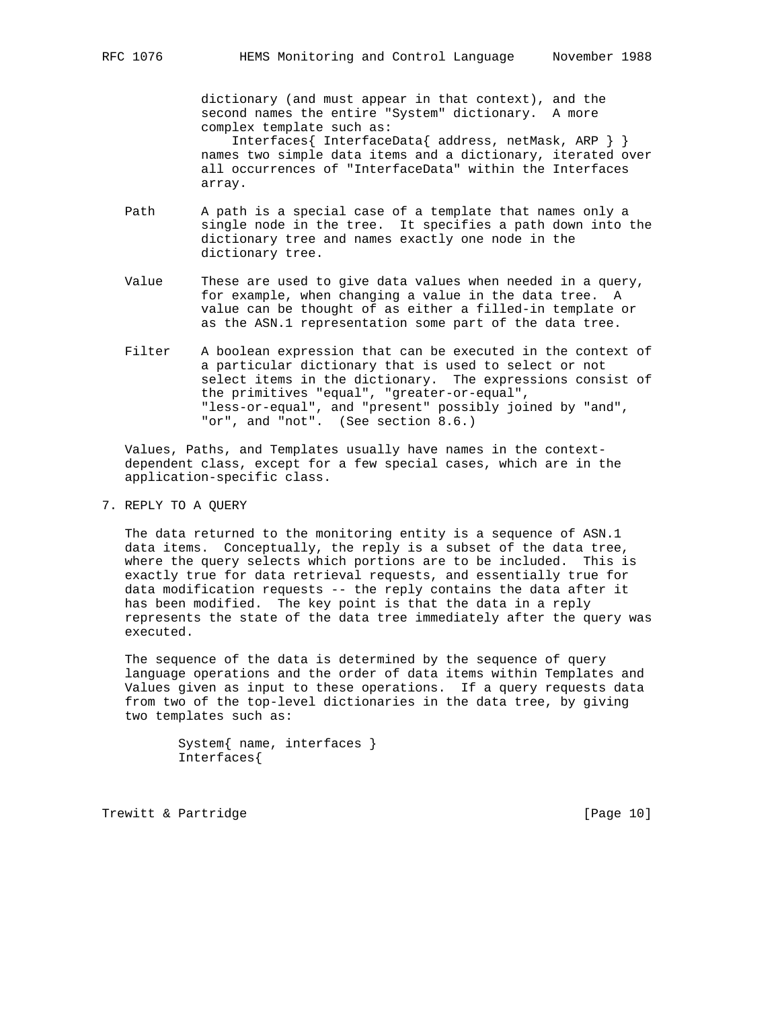dictionary (and must appear in that context), and the second names the entire "System" dictionary. A more complex template such as:

 Interfaces{ InterfaceData{ address, netMask, ARP } } names two simple data items and a dictionary, iterated over all occurrences of "InterfaceData" within the Interfaces array.

- Path A path is a special case of a template that names only a single node in the tree. It specifies a path down into the dictionary tree and names exactly one node in the dictionary tree.
- Value These are used to give data values when needed in a query, for example, when changing a value in the data tree. A value can be thought of as either a filled-in template or as the ASN.1 representation some part of the data tree.
- Filter A boolean expression that can be executed in the context of a particular dictionary that is used to select or not select items in the dictionary. The expressions consist of the primitives "equal", "greater-or-equal", "less-or-equal", and "present" possibly joined by "and", "or", and "not". (See section 8.6.)

 Values, Paths, and Templates usually have names in the context dependent class, except for a few special cases, which are in the application-specific class.

7. REPLY TO A QUERY

 The data returned to the monitoring entity is a sequence of ASN.1 data items. Conceptually, the reply is a subset of the data tree, where the query selects which portions are to be included. This is exactly true for data retrieval requests, and essentially true for data modification requests -- the reply contains the data after it has been modified. The key point is that the data in a reply represents the state of the data tree immediately after the query was executed.

 The sequence of the data is determined by the sequence of query language operations and the order of data items within Templates and Values given as input to these operations. If a query requests data from two of the top-level dictionaries in the data tree, by giving two templates such as:

> System{ name, interfaces } Interfaces{

Trewitt & Partridge **and Communist Communist Communist Communist Communist Communist Communist Communist Communist Communist Communist Communist Communist Communist Communist Communist Communist Communist Communist Communi**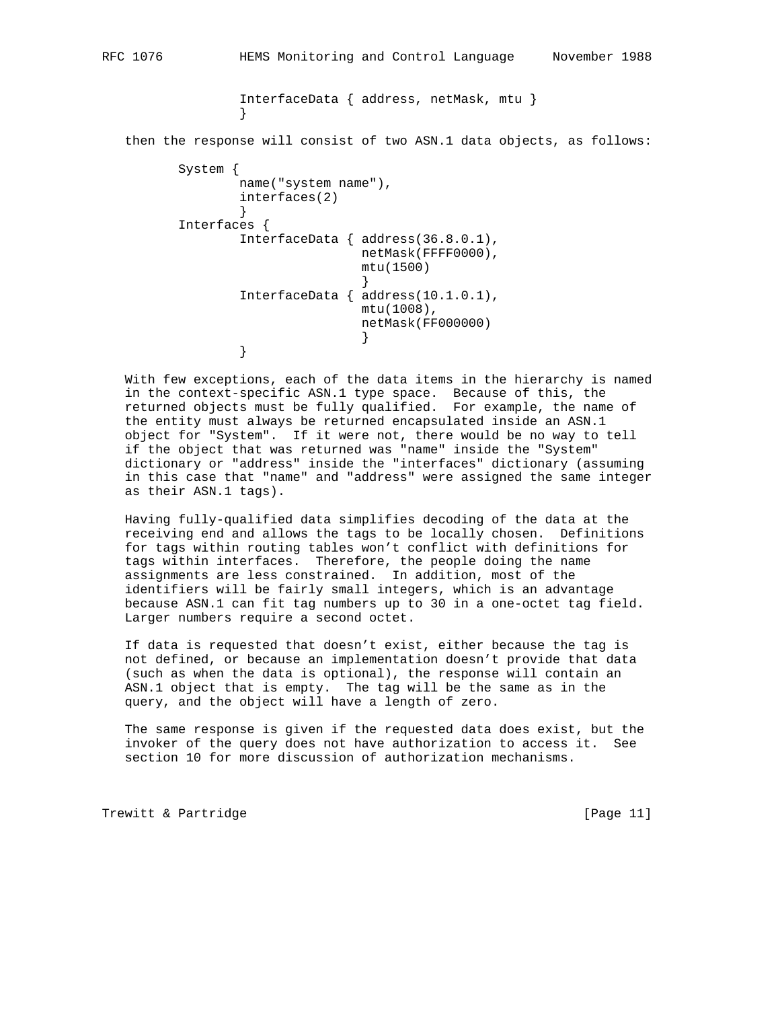InterfaceData { address, netMask, mtu } }

then the response will consist of two ASN.1 data objects, as follows:

```
 System {
             name("system name"),
             interfaces(2)
 }
       Interfaces {
             InterfaceData { address(36.8.0.1),
                         netMask(FFFF0000),
                         mtu(1500)
 }
             InterfaceData { address(10.1.0.1),
                         mtu(1008),
                         netMask(FF000000)
 }
 }
```
 With few exceptions, each of the data items in the hierarchy is named in the context-specific ASN.1 type space. Because of this, the returned objects must be fully qualified. For example, the name of the entity must always be returned encapsulated inside an ASN.1 object for "System". If it were not, there would be no way to tell if the object that was returned was "name" inside the "System" dictionary or "address" inside the "interfaces" dictionary (assuming in this case that "name" and "address" were assigned the same integer as their ASN.1 tags).

 Having fully-qualified data simplifies decoding of the data at the receiving end and allows the tags to be locally chosen. Definitions for tags within routing tables won't conflict with definitions for tags within interfaces. Therefore, the people doing the name assignments are less constrained. In addition, most of the identifiers will be fairly small integers, which is an advantage because ASN.1 can fit tag numbers up to 30 in a one-octet tag field. Larger numbers require a second octet.

 If data is requested that doesn't exist, either because the tag is not defined, or because an implementation doesn't provide that data (such as when the data is optional), the response will contain an ASN.1 object that is empty. The tag will be the same as in the query, and the object will have a length of zero.

 The same response is given if the requested data does exist, but the invoker of the query does not have authorization to access it. See section 10 for more discussion of authorization mechanisms.

Trewitt & Partridge **Execute 2** (Page 11)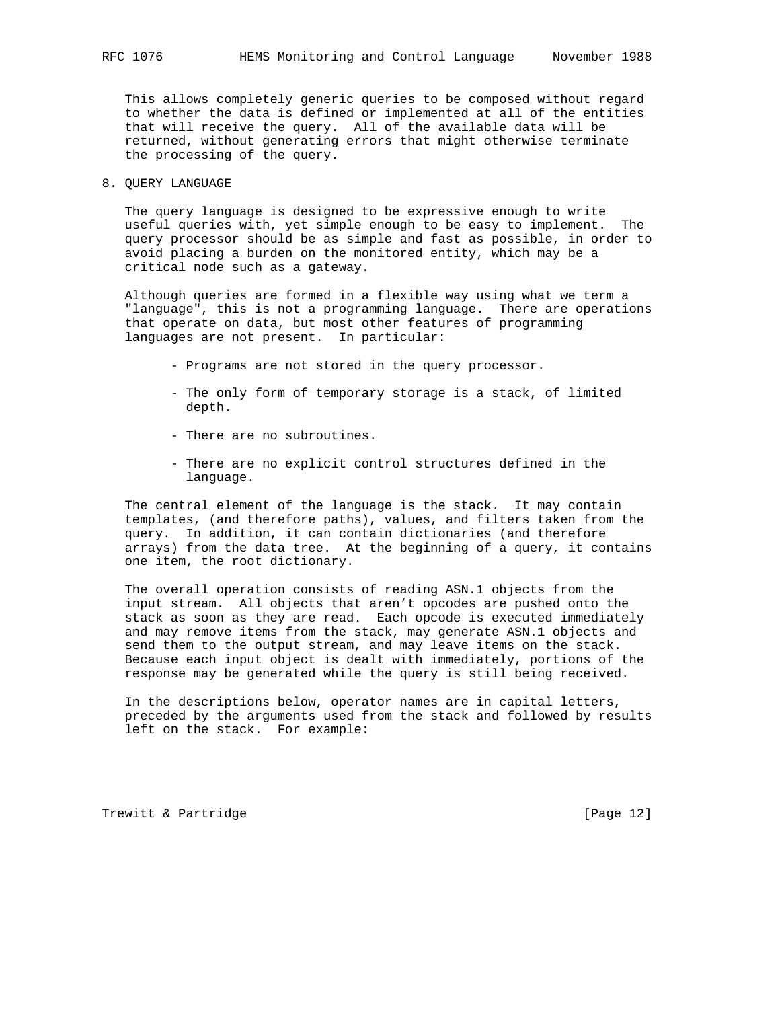This allows completely generic queries to be composed without regard to whether the data is defined or implemented at all of the entities that will receive the query. All of the available data will be returned, without generating errors that might otherwise terminate the processing of the query.

## 8. QUERY LANGUAGE

 The query language is designed to be expressive enough to write useful queries with, yet simple enough to be easy to implement. The query processor should be as simple and fast as possible, in order to avoid placing a burden on the monitored entity, which may be a critical node such as a gateway.

 Although queries are formed in a flexible way using what we term a "language", this is not a programming language. There are operations that operate on data, but most other features of programming languages are not present. In particular:

- Programs are not stored in the query processor.
- The only form of temporary storage is a stack, of limited depth.
- There are no subroutines.
- There are no explicit control structures defined in the language.

 The central element of the language is the stack. It may contain templates, (and therefore paths), values, and filters taken from the query. In addition, it can contain dictionaries (and therefore arrays) from the data tree. At the beginning of a query, it contains one item, the root dictionary.

 The overall operation consists of reading ASN.1 objects from the input stream. All objects that aren't opcodes are pushed onto the stack as soon as they are read. Each opcode is executed immediately and may remove items from the stack, may generate ASN.1 objects and send them to the output stream, and may leave items on the stack. Because each input object is dealt with immediately, portions of the response may be generated while the query is still being received.

 In the descriptions below, operator names are in capital letters, preceded by the arguments used from the stack and followed by results left on the stack. For example:

Trewitt & Partridge **and Communist Communist Communist Communist Communist Communist Communist Communist Communist Communist Communist Communist Communist Communist Communist Communist Communist Communist Communist Communi**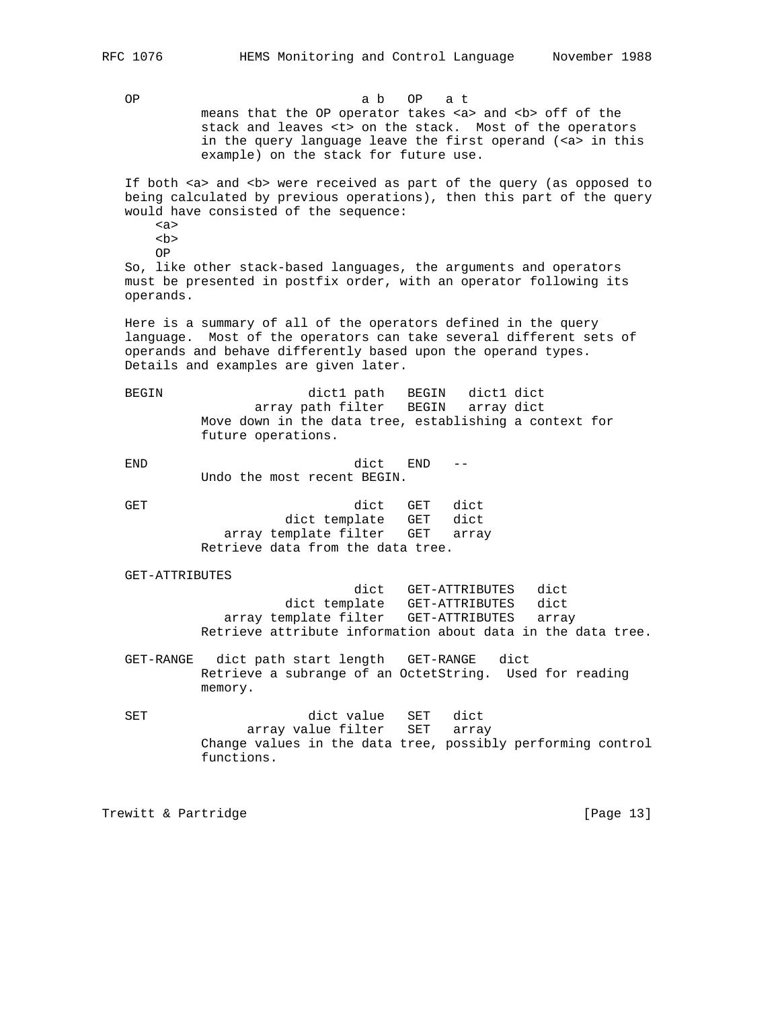OP a b OP a t means that the OP operator takes <a> and <br > <br >off of the stack and leaves <t> on the stack. Most of the operators in the query language leave the first operand (<a> in this example) on the stack for future use.

If both <a> and <b> were received as part of the query (as opposed to being calculated by previous operations), then this part of the query would have consisted of the sequence:

 <a>  $$ 

OP

 So, like other stack-based languages, the arguments and operators must be presented in postfix order, with an operator following its operands.

 Here is a summary of all of the operators defined in the query language. Most of the operators can take several different sets of operands and behave differently based upon the operand types. Details and examples are given later.

 BEGIN dict1 path BEGIN dict1 dict array path filter BEGIN array dict Move down in the data tree, establishing a context for future operations.

 END dict END -- Undo the most recent BEGIN.

GET dict GET dict dict template GET dict array template filter GET array Retrieve data from the data tree.

### GET-ATTRIBUTES

 dict GET-ATTRIBUTES dict dict template GET-ATTRIBUTES dict array template filter GET-ATTRIBUTES array Retrieve attribute information about data in the data tree.

 GET-RANGE dict path start length GET-RANGE dict Retrieve a subrange of an OctetString. Used for reading memory.

 SET dict value SET dict array value filter SET array Change values in the data tree, possibly performing control functions.

Trewitt & Partridge **and Execution** [Page 13]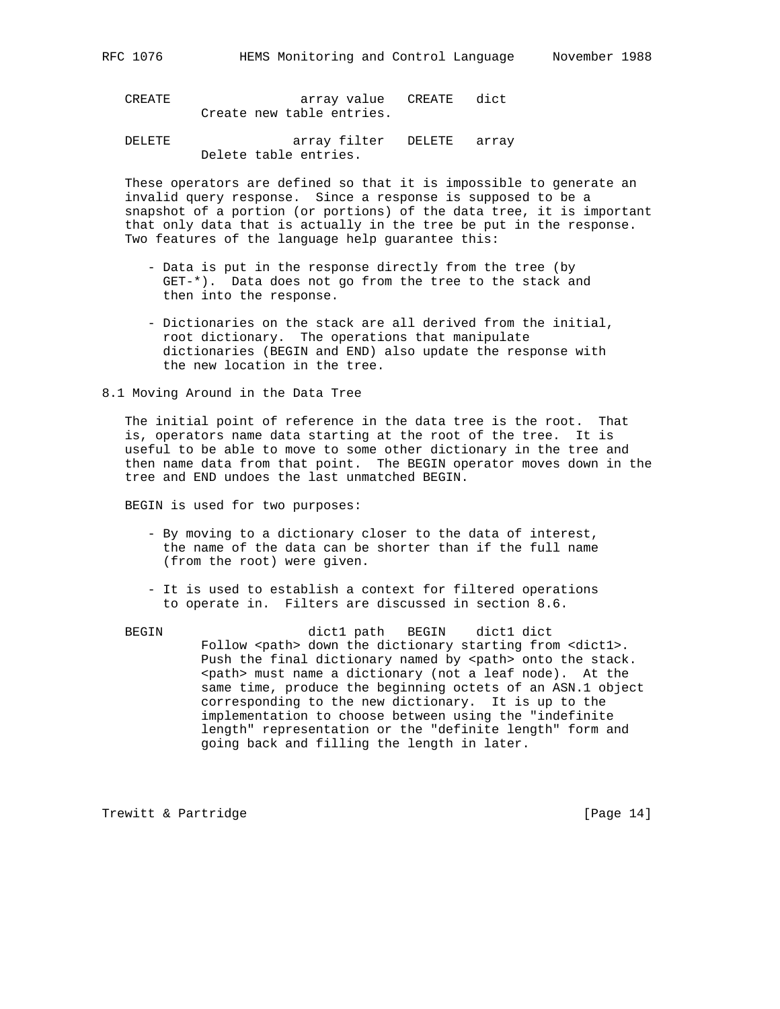CREATE array value CREATE dict Create new table entries.

 DELETE array filter DELETE array Delete table entries.

 These operators are defined so that it is impossible to generate an invalid query response. Since a response is supposed to be a snapshot of a portion (or portions) of the data tree, it is important that only data that is actually in the tree be put in the response. Two features of the language help guarantee this:

- Data is put in the response directly from the tree (by GET-\*). Data does not go from the tree to the stack and then into the response.
- Dictionaries on the stack are all derived from the initial, root dictionary. The operations that manipulate dictionaries (BEGIN and END) also update the response with the new location in the tree.

8.1 Moving Around in the Data Tree

 The initial point of reference in the data tree is the root. That is, operators name data starting at the root of the tree. It is useful to be able to move to some other dictionary in the tree and then name data from that point. The BEGIN operator moves down in the tree and END undoes the last unmatched BEGIN.

BEGIN is used for two purposes:

- By moving to a dictionary closer to the data of interest, the name of the data can be shorter than if the full name (from the root) were given.
- It is used to establish a context for filtered operations to operate in. Filters are discussed in section 8.6.
- BEGIN dict1 path BEGIN dict1 dict Follow <path> down the dictionary starting from <dict1>. Push the final dictionary named by <path> onto the stack. <path> must name a dictionary (not a leaf node). At the same time, produce the beginning octets of an ASN.1 object corresponding to the new dictionary. It is up to the implementation to choose between using the "indefinite length" representation or the "definite length" form and going back and filling the length in later.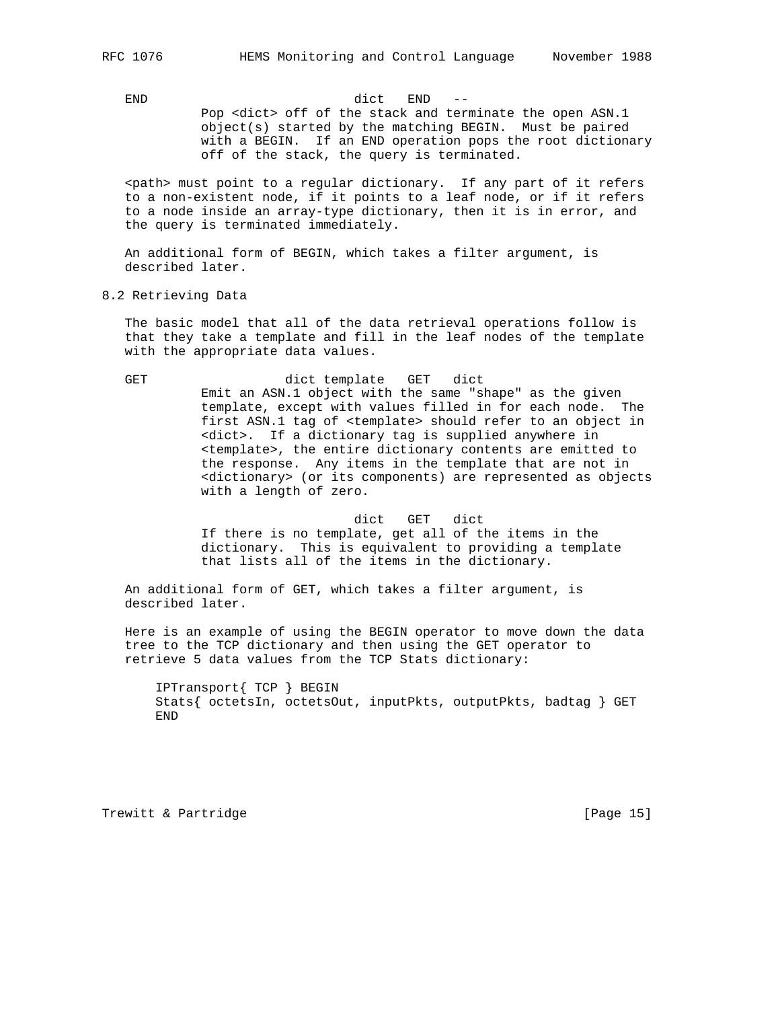END dict END --

 Pop <dict> off of the stack and terminate the open ASN.1 object(s) started by the matching BEGIN. Must be paired with a BEGIN. If an END operation pops the root dictionary off of the stack, the query is terminated.

 <path> must point to a regular dictionary. If any part of it refers to a non-existent node, if it points to a leaf node, or if it refers to a node inside an array-type dictionary, then it is in error, and the query is terminated immediately.

 An additional form of BEGIN, which takes a filter argument, is described later.

8.2 Retrieving Data

 The basic model that all of the data retrieval operations follow is that they take a template and fill in the leaf nodes of the template with the appropriate data values.

GET dict template GET dict Emit an ASN.1 object with the same "shape" as the given template, except with values filled in for each node. The first ASN.1 tag of <template> should refer to an object in <dict>. If a dictionary tag is supplied anywhere in <template>, the entire dictionary contents are emitted to the response. Any items in the template that are not in <dictionary> (or its components) are represented as objects with a length of zero.

> dict GET dict If there is no template, get all of the items in the dictionary. This is equivalent to providing a template that lists all of the items in the dictionary.

 An additional form of GET, which takes a filter argument, is described later.

 Here is an example of using the BEGIN operator to move down the data tree to the TCP dictionary and then using the GET operator to retrieve 5 data values from the TCP Stats dictionary:

 IPTransport{ TCP } BEGIN Stats{ octetsIn, octetsOut, inputPkts, outputPkts, badtag } GET END

Trewitt & Partridge **and Execution** [Page 15]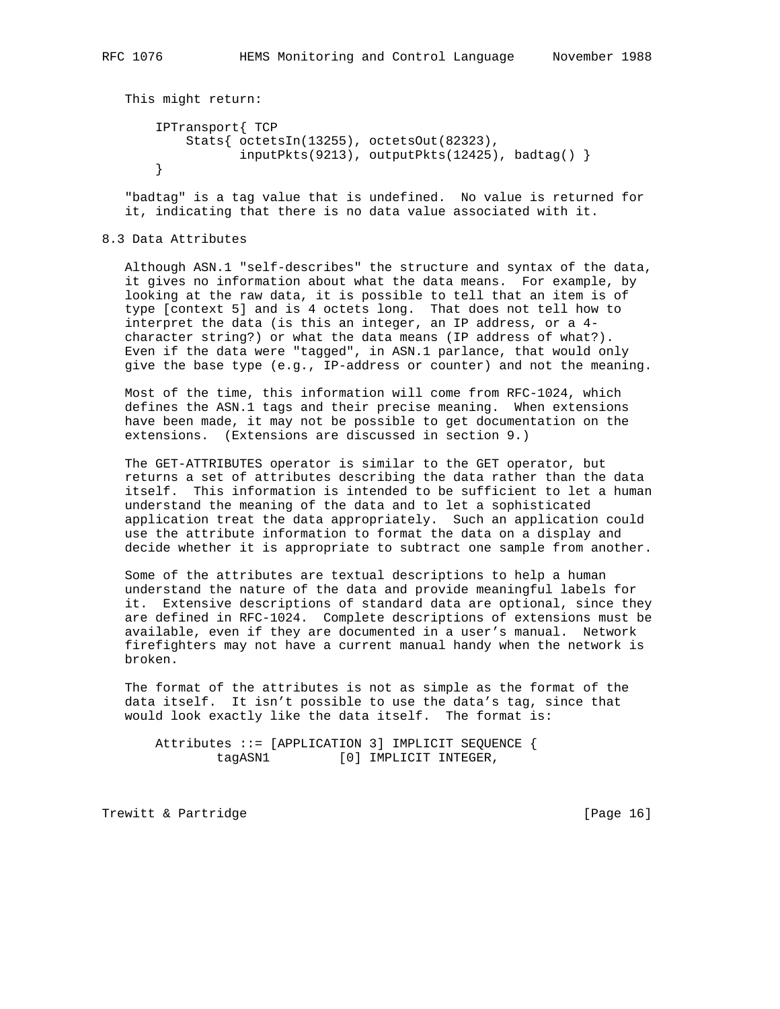```
 This might return:
     IPTransport{ TCP
         Stats{ octetsIn(13255), octetsOut(82323),
               inputPkts(9213), outputPkts(12425), badtag() }
```
 "badtag" is a tag value that is undefined. No value is returned for it, indicating that there is no data value associated with it.

## 8.3 Data Attributes

 Although ASN.1 "self-describes" the structure and syntax of the data, it gives no information about what the data means. For example, by looking at the raw data, it is possible to tell that an item is of type [context 5] and is 4 octets long. That does not tell how to interpret the data (is this an integer, an IP address, or a 4 character string?) or what the data means (IP address of what?). Even if the data were "tagged", in ASN.1 parlance, that would only give the base type (e.g., IP-address or counter) and not the meaning.

 Most of the time, this information will come from RFC-1024, which defines the ASN.1 tags and their precise meaning. When extensions have been made, it may not be possible to get documentation on the extensions. (Extensions are discussed in section 9.)

 The GET-ATTRIBUTES operator is similar to the GET operator, but returns a set of attributes describing the data rather than the data itself. This information is intended to be sufficient to let a human understand the meaning of the data and to let a sophisticated application treat the data appropriately. Such an application could use the attribute information to format the data on a display and decide whether it is appropriate to subtract one sample from another.

 Some of the attributes are textual descriptions to help a human understand the nature of the data and provide meaningful labels for it. Extensive descriptions of standard data are optional, since they are defined in RFC-1024. Complete descriptions of extensions must be available, even if they are documented in a user's manual. Network firefighters may not have a current manual handy when the network is broken.

 The format of the attributes is not as simple as the format of the data itself. It isn't possible to use the data's tag, since that would look exactly like the data itself. The format is:

 Attributes ::= [APPLICATION 3] IMPLICIT SEQUENCE { tagASN1 [0] IMPLICIT INTEGER,

Trewitt & Partridge **and Execution** [Page 16]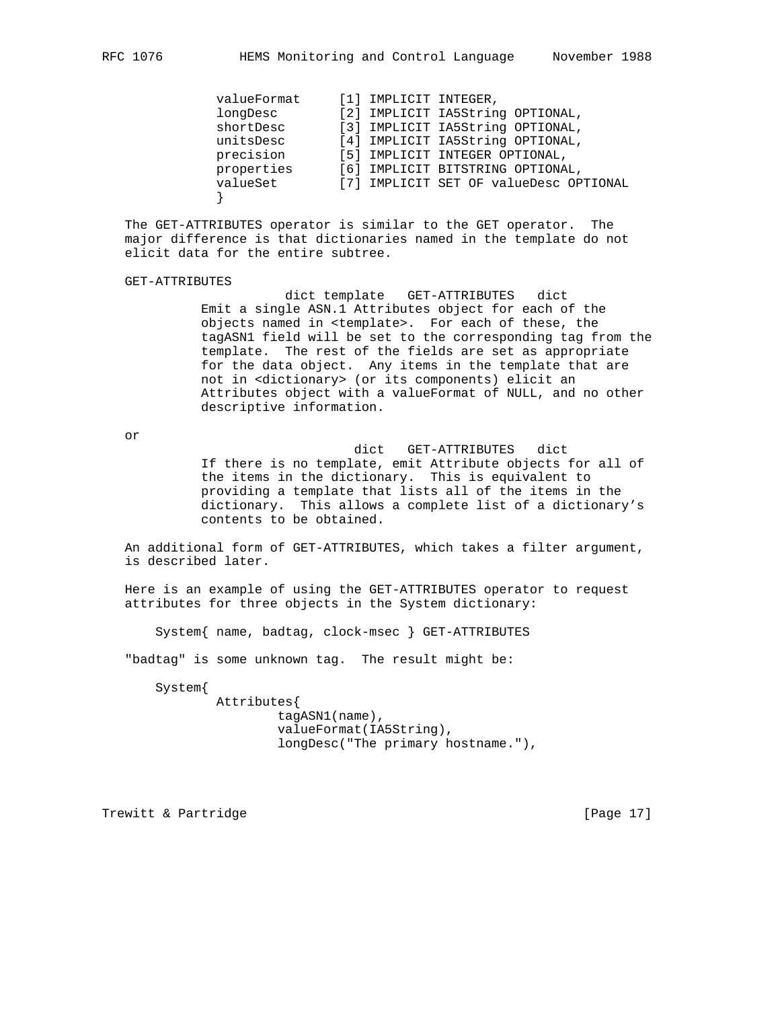| valueFormat | [1] IMPLICIT INTEGER, |                                        |
|-------------|-----------------------|----------------------------------------|
| longDesc    |                       | [2] IMPLICIT IA5String OPTIONAL,       |
| shortDesc   |                       | [3] IMPLICIT IA5String OPTIONAL,       |
| unitsDesc   |                       | [4] IMPLICIT IA5String OPTIONAL,       |
| precision   |                       | [5] IMPLICIT INTEGER OPTIONAL,         |
| properties  |                       | [6] IMPLICIT BITSTRING OPTIONAL,       |
| valueSet    |                       | [7] IMPLICIT SET OF valueDesc OPTIONAL |
|             |                       |                                        |

 The GET-ATTRIBUTES operator is similar to the GET operator. The major difference is that dictionaries named in the template do not elicit data for the entire subtree.

GET-ATTRIBUTES

 dict template GET-ATTRIBUTES dict Emit a single ASN.1 Attributes object for each of the objects named in <template>. For each of these, the tagASN1 field will be set to the corresponding tag from the template. The rest of the fields are set as appropriate for the data object. Any items in the template that are not in <dictionary> (or its components) elicit an Attributes object with a valueFormat of NULL, and no other descriptive information.

or

 dict GET-ATTRIBUTES dict If there is no template, emit Attribute objects for all of the items in the dictionary. This is equivalent to providing a template that lists all of the items in the dictionary. This allows a complete list of a dictionary's contents to be obtained.

 An additional form of GET-ATTRIBUTES, which takes a filter argument, is described later.

 Here is an example of using the GET-ATTRIBUTES operator to request attributes for three objects in the System dictionary:

System{ name, badtag, clock-msec } GET-ATTRIBUTES

"badtag" is some unknown tag. The result might be:

System{

 Attributes{ tagASN1(name), valueFormat(IA5String), longDesc("The primary hostname."),

Trewitt & Partridge **Execute 2** (Page 17)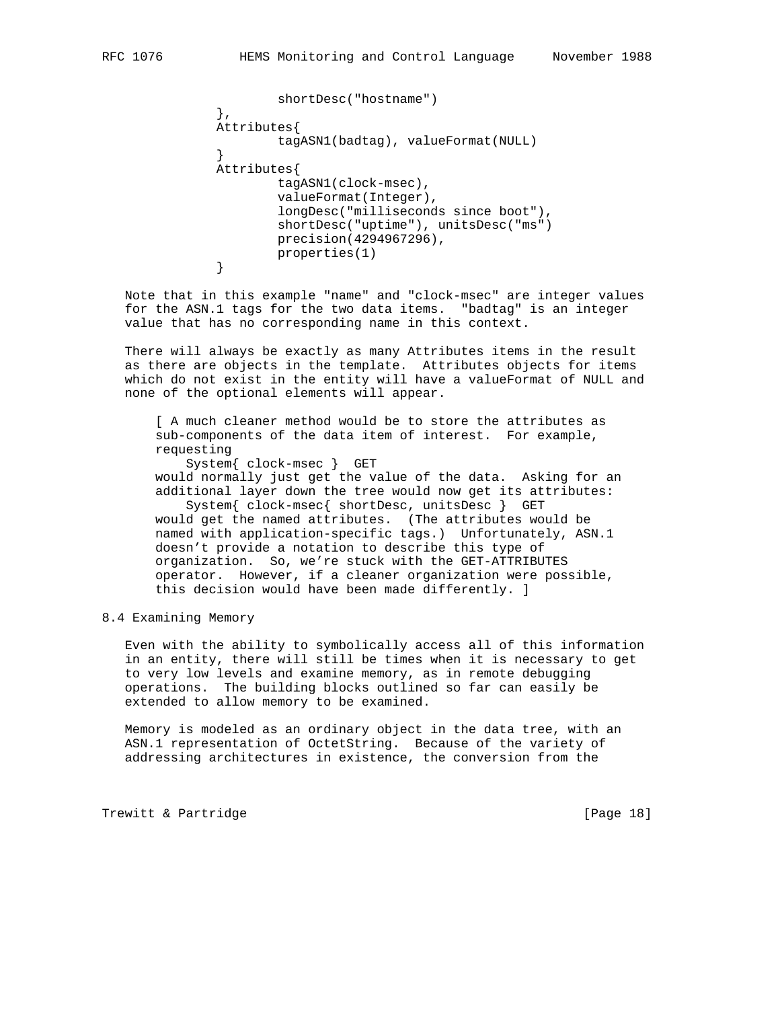```
 shortDesc("hostname")
               },
               Attributes{
                      tagASN1(badtag), valueFormat(NULL)
 }
               Attributes{
                      tagASN1(clock-msec),
                      valueFormat(Integer),
                      longDesc("milliseconds since boot"),
                      shortDesc("uptime"), unitsDesc("ms")
                      precision(4294967296),
              properties(1)<br>}
 }
```
 Note that in this example "name" and "clock-msec" are integer values for the ASN.1 tags for the two data items. "badtag" is an integer value that has no corresponding name in this context.

 There will always be exactly as many Attributes items in the result as there are objects in the template. Attributes objects for items which do not exist in the entity will have a valueFormat of NULL and none of the optional elements will appear.

 [ A much cleaner method would be to store the attributes as sub-components of the data item of interest. For example, requesting System{ clock-msec } GET would normally just get the value of the data. Asking for an

 additional layer down the tree would now get its attributes: System{ clock-msec{ shortDesc, unitsDesc } GET would get the named attributes. (The attributes would be named with application-specific tags.) Unfortunately, ASN.1 doesn't provide a notation to describe this type of organization. So, we're stuck with the GET-ATTRIBUTES

 operator. However, if a cleaner organization were possible, this decision would have been made differently. ]

#### 8.4 Examining Memory

 Even with the ability to symbolically access all of this information in an entity, there will still be times when it is necessary to get to very low levels and examine memory, as in remote debugging operations. The building blocks outlined so far can easily be extended to allow memory to be examined.

 Memory is modeled as an ordinary object in the data tree, with an ASN.1 representation of OctetString. Because of the variety of addressing architectures in existence, the conversion from the

Trewitt & Partridge **and Execution** [Page 18]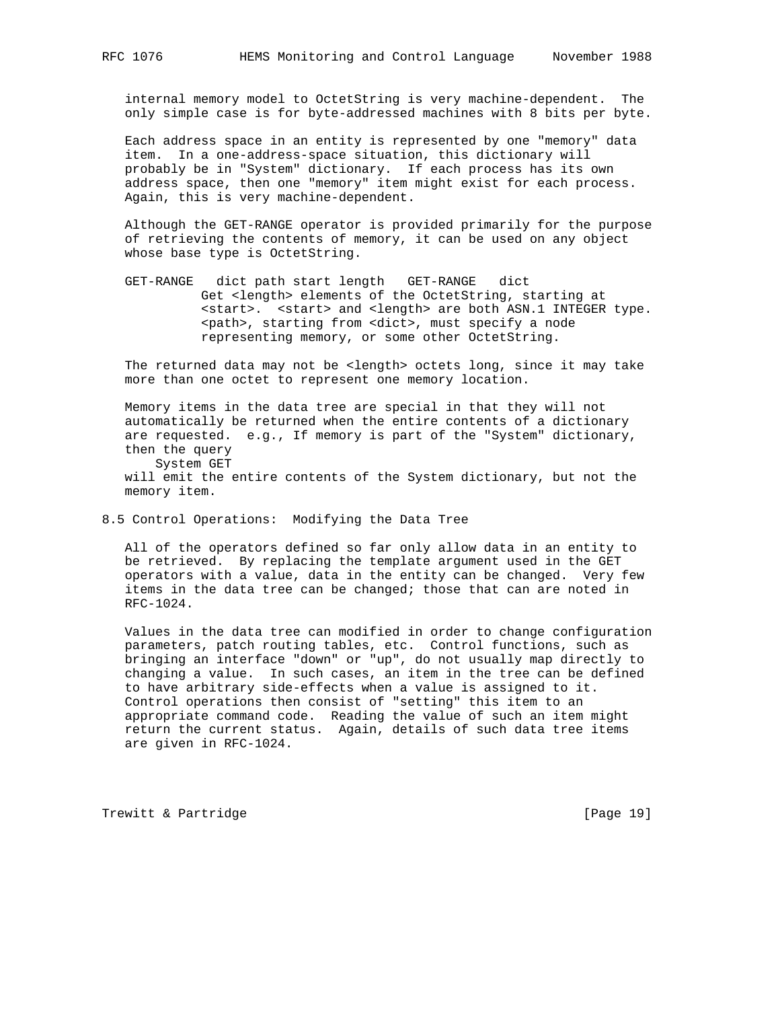internal memory model to OctetString is very machine-dependent. The only simple case is for byte-addressed machines with 8 bits per byte.

 Each address space in an entity is represented by one "memory" data item. In a one-address-space situation, this dictionary will probably be in "System" dictionary. If each process has its own address space, then one "memory" item might exist for each process. Again, this is very machine-dependent.

 Although the GET-RANGE operator is provided primarily for the purpose of retrieving the contents of memory, it can be used on any object whose base type is OctetString.

 GET-RANGE dict path start length GET-RANGE dict Get <length> elements of the OctetString, starting at <start>. <start> and <length> are both ASN.1 INTEGER type. <path>, starting from <dict>, must specify a node representing memory, or some other OctetString.

 The returned data may not be <length> octets long, since it may take more than one octet to represent one memory location.

 Memory items in the data tree are special in that they will not automatically be returned when the entire contents of a dictionary are requested. e.g., If memory is part of the "System" dictionary, then the query System GET

 will emit the entire contents of the System dictionary, but not the memory item.

8.5 Control Operations: Modifying the Data Tree

 All of the operators defined so far only allow data in an entity to be retrieved. By replacing the template argument used in the GET operators with a value, data in the entity can be changed. Very few items in the data tree can be changed; those that can are noted in RFC-1024.

 Values in the data tree can modified in order to change configuration parameters, patch routing tables, etc. Control functions, such as bringing an interface "down" or "up", do not usually map directly to changing a value. In such cases, an item in the tree can be defined to have arbitrary side-effects when a value is assigned to it. Control operations then consist of "setting" this item to an appropriate command code. Reading the value of such an item might return the current status. Again, details of such data tree items are given in RFC-1024.

Trewitt & Partridge **Execute 2** (Page 19)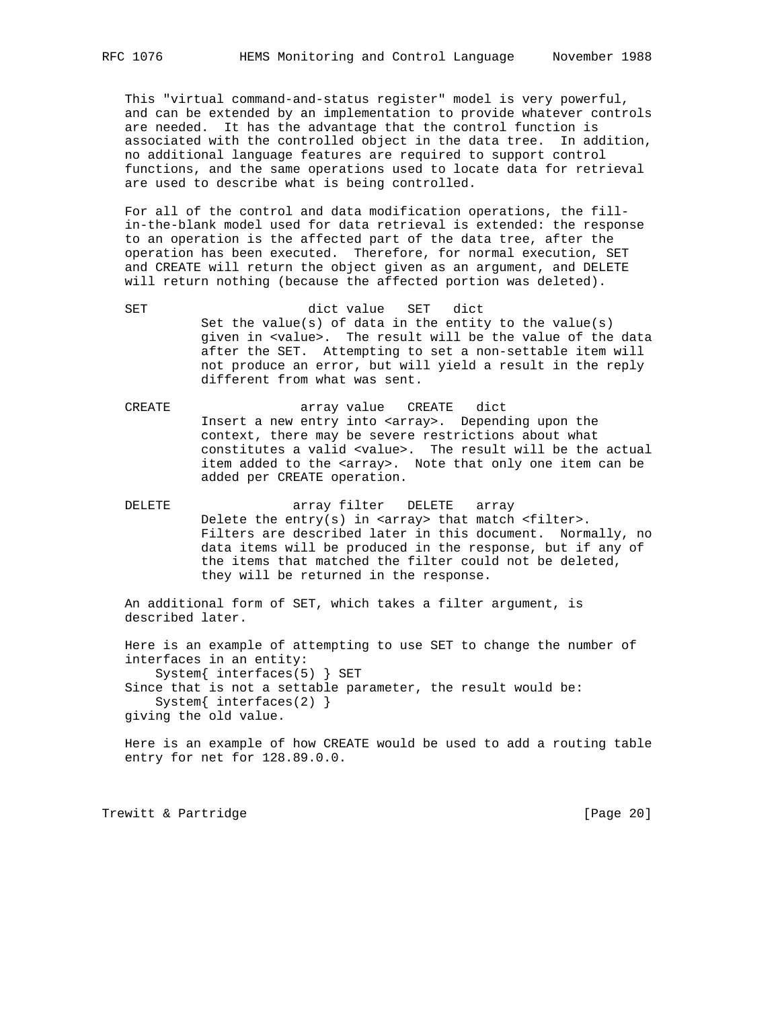This "virtual command-and-status register" model is very powerful, and can be extended by an implementation to provide whatever controls are needed. It has the advantage that the control function is associated with the controlled object in the data tree. In addition, no additional language features are required to support control functions, and the same operations used to locate data for retrieval are used to describe what is being controlled.

 For all of the control and data modification operations, the fill in-the-blank model used for data retrieval is extended: the response to an operation is the affected part of the data tree, after the operation has been executed. Therefore, for normal execution, SET and CREATE will return the object given as an argument, and DELETE will return nothing (because the affected portion was deleted).

 SET dict value SET dict Set the value(s) of data in the entity to the value(s) given in <value>. The result will be the value of the data after the SET. Attempting to set a non-settable item will not produce an error, but will yield a result in the reply different from what was sent.

 CREATE array value CREATE dict Insert a new entry into <array>. Depending upon the context, there may be severe restrictions about what constitutes a valid <value>. The result will be the actual item added to the <array>. Note that only one item can be added per CREATE operation.

 DELETE array filter DELETE array Delete the  $entry(s)$  in <array> that match <filter>. Filters are described later in this document. Normally, no data items will be produced in the response, but if any of the items that matched the filter could not be deleted, they will be returned in the response.

 An additional form of SET, which takes a filter argument, is described later.

 Here is an example of attempting to use SET to change the number of interfaces in an entity: System{ interfaces(5) } SET Since that is not a settable parameter, the result would be: System{ interfaces(2) } giving the old value.

 Here is an example of how CREATE would be used to add a routing table entry for net for 128.89.0.0.

Trewitt & Partridge **and Execution** [Page 20]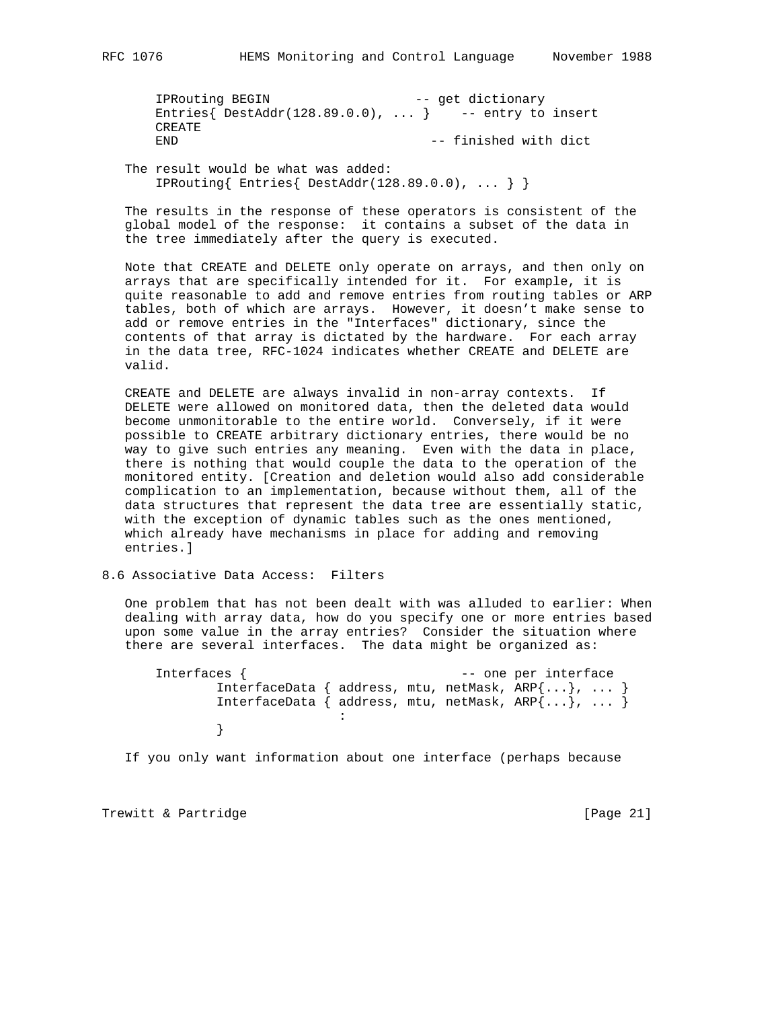IPRouting BEGIN -- get dictionary Entries{ DestAddr(128.89.0.0), ... } -- entry to insert CREATE END  $-$  finished with dict

 The result would be what was added: IPRouting{ Entries{ DestAddr(128.89.0.0), ... } }

 The results in the response of these operators is consistent of the global model of the response: it contains a subset of the data in the tree immediately after the query is executed.

 Note that CREATE and DELETE only operate on arrays, and then only on arrays that are specifically intended for it. For example, it is quite reasonable to add and remove entries from routing tables or ARP tables, both of which are arrays. However, it doesn't make sense to add or remove entries in the "Interfaces" dictionary, since the contents of that array is dictated by the hardware. For each array in the data tree, RFC-1024 indicates whether CREATE and DELETE are valid.

 CREATE and DELETE are always invalid in non-array contexts. If DELETE were allowed on monitored data, then the deleted data would become unmonitorable to the entire world. Conversely, if it were possible to CREATE arbitrary dictionary entries, there would be no way to give such entries any meaning. Even with the data in place, there is nothing that would couple the data to the operation of the monitored entity. [Creation and deletion would also add considerable complication to an implementation, because without them, all of the data structures that represent the data tree are essentially static, with the exception of dynamic tables such as the ones mentioned, which already have mechanisms in place for adding and removing entries.]

### 8.6 Associative Data Access: Filters

 One problem that has not been dealt with was alluded to earlier: When dealing with array data, how do you specify one or more entries based upon some value in the array entries? Consider the situation where there are several interfaces. The data might be organized as:

 Interfaces { -- one per interface InterfaceData { address, mtu, netMask, ARP{...}, ... } InterfaceData { address, mtu, netMask, ARP{...}, ... } the contract of the contract of the contract of the contract of }

If you only want information about one interface (perhaps because

Trewitt & Partridge **and Europe Except Control** [Page 21]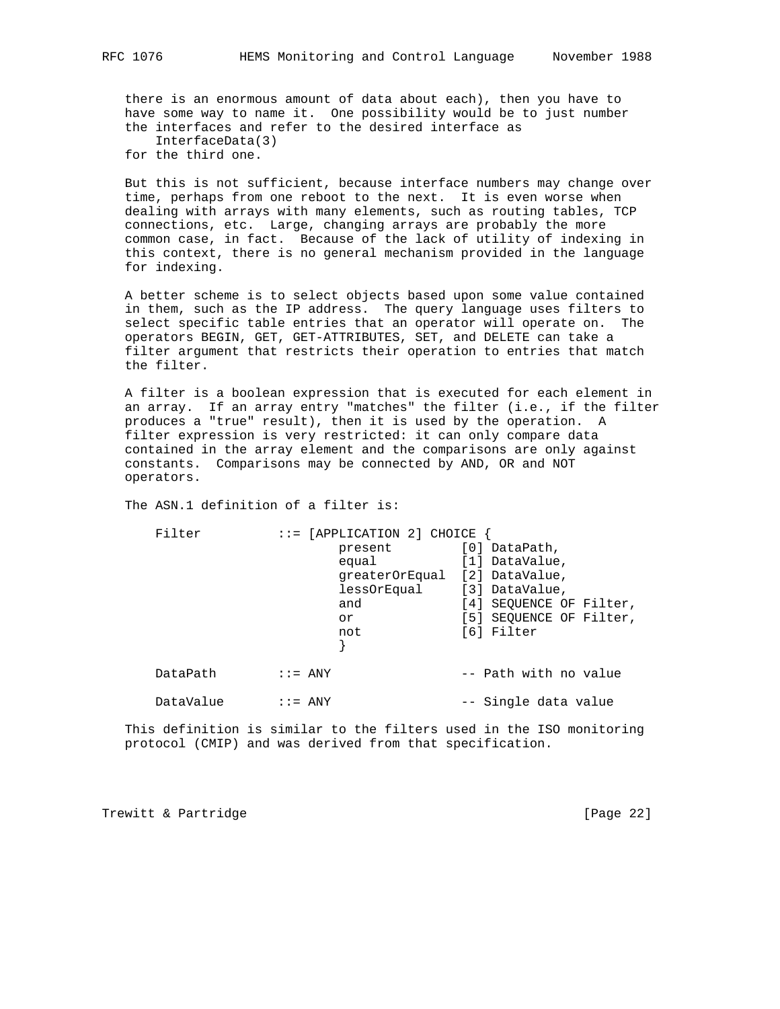there is an enormous amount of data about each), then you have to have some way to name it. One possibility would be to just number the interfaces and refer to the desired interface as

 InterfaceData(3) for the third one.

 But this is not sufficient, because interface numbers may change over time, perhaps from one reboot to the next. It is even worse when dealing with arrays with many elements, such as routing tables, TCP connections, etc. Large, changing arrays are probably the more common case, in fact. Because of the lack of utility of indexing in this context, there is no general mechanism provided in the language for indexing.

 A better scheme is to select objects based upon some value contained in them, such as the IP address. The query language uses filters to select specific table entries that an operator will operate on. The operators BEGIN, GET, GET-ATTRIBUTES, SET, and DELETE can take a filter argument that restricts their operation to entries that match the filter.

 A filter is a boolean expression that is executed for each element in an array. If an array entry "matches" the filter (i.e., if the filter produces a "true" result), then it is used by the operation. A filter expression is very restricted: it can only compare data contained in the array element and the comparisons are only against constants. Comparisons may be connected by AND, OR and NOT operators.

The ASN.1 definition of a filter is:

| Filter    |                            | $::=$ [APPLICATION 2] CHOICE  |                         |
|-----------|----------------------------|-------------------------------|-------------------------|
|           |                            | present                       | [0] DataPath,           |
|           |                            | equal                         | [1] DataValue,          |
|           |                            | greaterOrEqual [2] DataValue, |                         |
|           |                            | lessOrEqual                   | [3] DataValue,          |
|           |                            | and                           | [4] SEOUENCE OF Filter, |
|           |                            | or                            | [5] SEQUENCE OF Filter, |
|           |                            | not                           | [6] Filter              |
|           |                            |                               |                         |
|           |                            |                               |                         |
| DataPath  | $\mathbf{I} := \text{ANY}$ |                               | -- Path with no value   |
|           |                            |                               |                         |
| DataValue | $\mathbf{I} := \text{ANY}$ |                               | -- Single data value    |

 This definition is similar to the filters used in the ISO monitoring protocol (CMIP) and was derived from that specification.

Trewitt & Partridge **and Communist** [Page 22]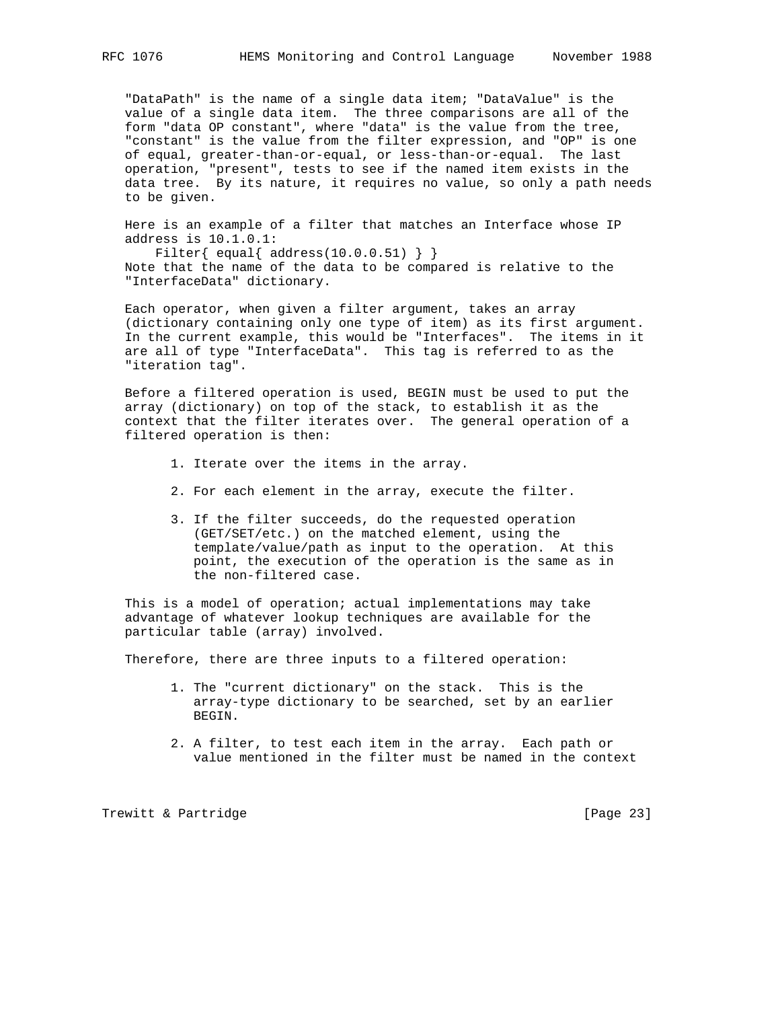"DataPath" is the name of a single data item; "DataValue" is the value of a single data item. The three comparisons are all of the form "data OP constant", where "data" is the value from the tree, "constant" is the value from the filter expression, and "OP" is one of equal, greater-than-or-equal, or less-than-or-equal. The last operation, "present", tests to see if the named item exists in the data tree. By its nature, it requires no value, so only a path needs to be given.

 Here is an example of a filter that matches an Interface whose IP address is 10.1.0.1:

Filter{ equal{  $address(10.0.0.51)$  } } Note that the name of the data to be compared is relative to the "InterfaceData" dictionary.

 Each operator, when given a filter argument, takes an array (dictionary containing only one type of item) as its first argument. In the current example, this would be "Interfaces". The items in it are all of type "InterfaceData". This tag is referred to as the "iteration tag".

 Before a filtered operation is used, BEGIN must be used to put the array (dictionary) on top of the stack, to establish it as the context that the filter iterates over. The general operation of a filtered operation is then:

- 1. Iterate over the items in the array.
- 2. For each element in the array, execute the filter.
- 3. If the filter succeeds, do the requested operation (GET/SET/etc.) on the matched element, using the template/value/path as input to the operation. At this point, the execution of the operation is the same as in the non-filtered case.

 This is a model of operation; actual implementations may take advantage of whatever lookup techniques are available for the particular table (array) involved.

Therefore, there are three inputs to a filtered operation:

- 1. The "current dictionary" on the stack. This is the array-type dictionary to be searched, set by an earlier BEGIN.
- 2. A filter, to test each item in the array. Each path or value mentioned in the filter must be named in the context

Trewitt & Partridge **and Execution** [Page 23]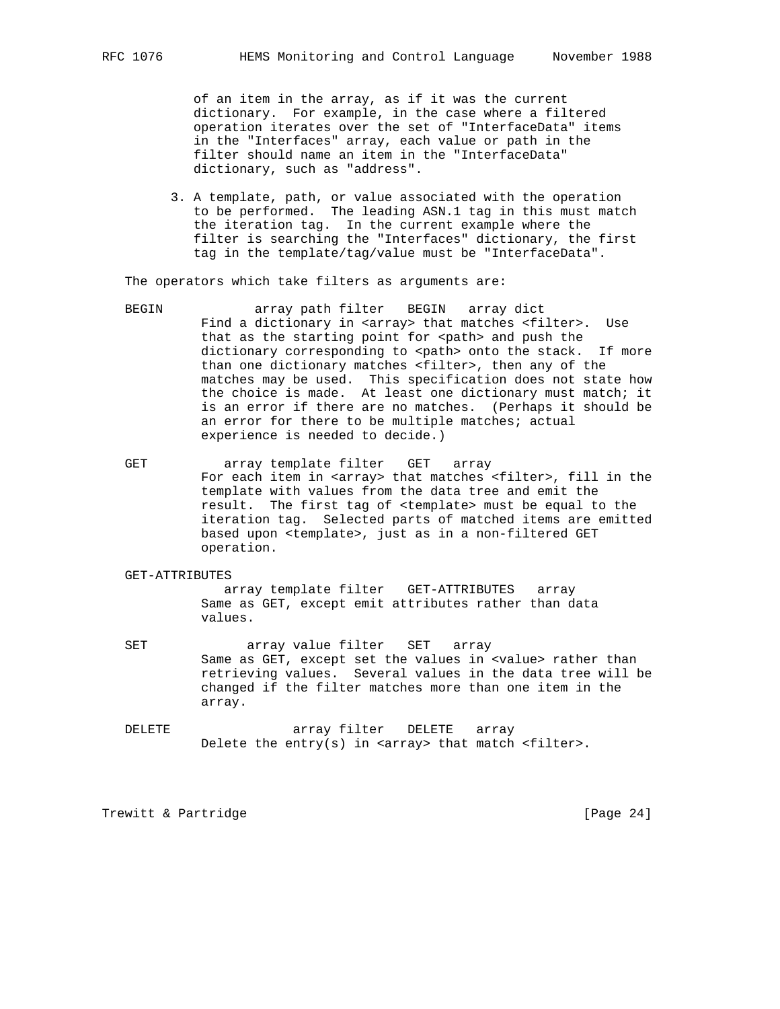of an item in the array, as if it was the current dictionary. For example, in the case where a filtered operation iterates over the set of "InterfaceData" items in the "Interfaces" array, each value or path in the filter should name an item in the "InterfaceData" dictionary, such as "address".

 3. A template, path, or value associated with the operation to be performed. The leading ASN.1 tag in this must match the iteration tag. In the current example where the filter is searching the "Interfaces" dictionary, the first tag in the template/tag/value must be "InterfaceData".

The operators which take filters as arguments are:

- BEGIN array path filter BEGIN array dict Find a dictionary in <array> that matches <filter>. Use that as the starting point for <path> and push the dictionary corresponding to <path> onto the stack. If more than one dictionary matches <filter>, then any of the matches may be used. This specification does not state how the choice is made. At least one dictionary must match; it is an error if there are no matches. (Perhaps it should be an error for there to be multiple matches; actual experience is needed to decide.)
- GET array template filter GET array For each item in <array> that matches <filter>, fill in the template with values from the data tree and emit the result. The first tag of <template> must be equal to the iteration tag. Selected parts of matched items are emitted based upon <template>, just as in a non-filtered GET operation.

#### GET-ATTRIBUTES

 array template filter GET-ATTRIBUTES array Same as GET, except emit attributes rather than data values.

- SET array value filter SET array Same as GET, except set the values in <value> rather than retrieving values. Several values in the data tree will be changed if the filter matches more than one item in the array.
- DELETE array filter DELETE array Delete the  $entry(s)$  in <array> that match <filter>.

Trewitt & Partridge **and Communist** [Page 24]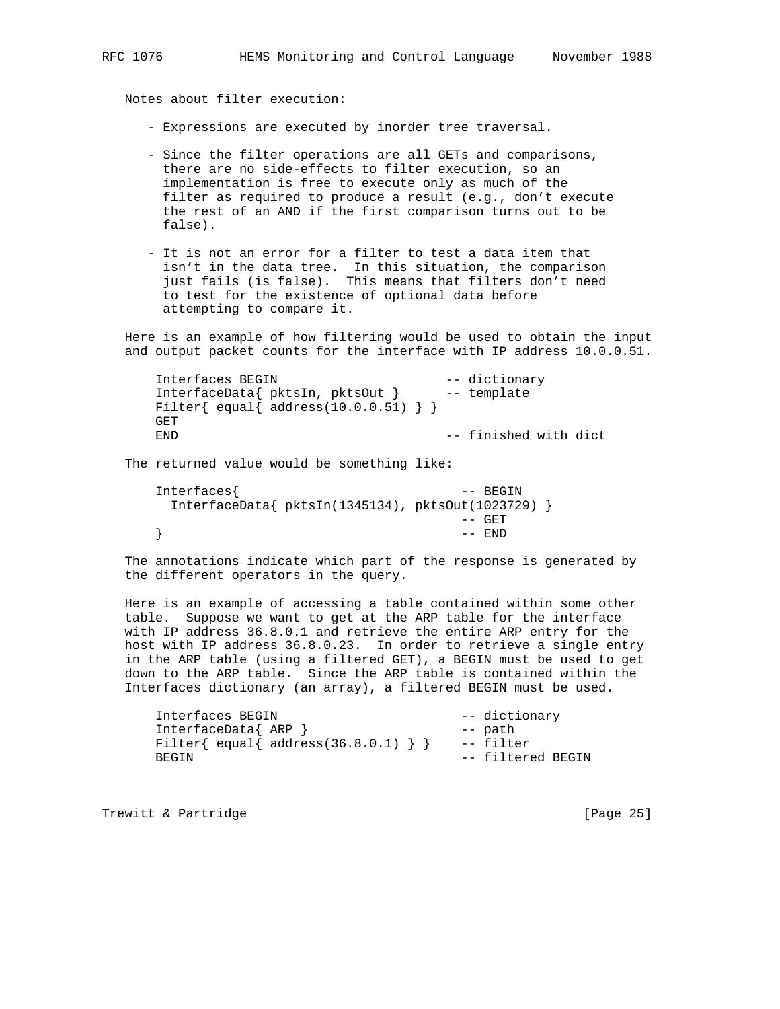Notes about filter execution:

- Expressions are executed by inorder tree traversal.
- Since the filter operations are all GETs and comparisons, there are no side-effects to filter execution, so an implementation is free to execute only as much of the filter as required to produce a result (e.g., don't execute the rest of an AND if the first comparison turns out to be false).
- It is not an error for a filter to test a data item that isn't in the data tree. In this situation, the comparison just fails (is false). This means that filters don't need to test for the existence of optional data before attempting to compare it.

 Here is an example of how filtering would be used to obtain the input and output packet counts for the interface with IP address 10.0.0.51.

```
 Interfaces BEGIN -- dictionary
 InterfaceData{ pktsIn, pktsOut } -- template
Filter{ equal{ address(10.0.0.51) } }
 GET
END -- finished with dict
```
The returned value would be something like:

```
 Interfaces{ -- BEGIN
     InterfaceData{ pktsIn(1345134), pktsOut(1023729) }
                           -- GET
\} -- END
```
 The annotations indicate which part of the response is generated by the different operators in the query.

 Here is an example of accessing a table contained within some other table. Suppose we want to get at the ARP table for the interface with IP address 36.8.0.1 and retrieve the entire ARP entry for the host with IP address 36.8.0.23. In order to retrieve a single entry in the ARP table (using a filtered GET), a BEGIN must be used to get down to the ARP table. Since the ARP table is contained within the Interfaces dictionary (an array), a filtered BEGIN must be used.

```
 Interfaces BEGIN -- dictionary
 InterfaceData{ ARP } -- path
Filter{ equal{ address(36.8.0.1) } } -- filter
BEGIN -- filtered BEGIN
```
Trewitt & Partridge **and Execution** [Page 25]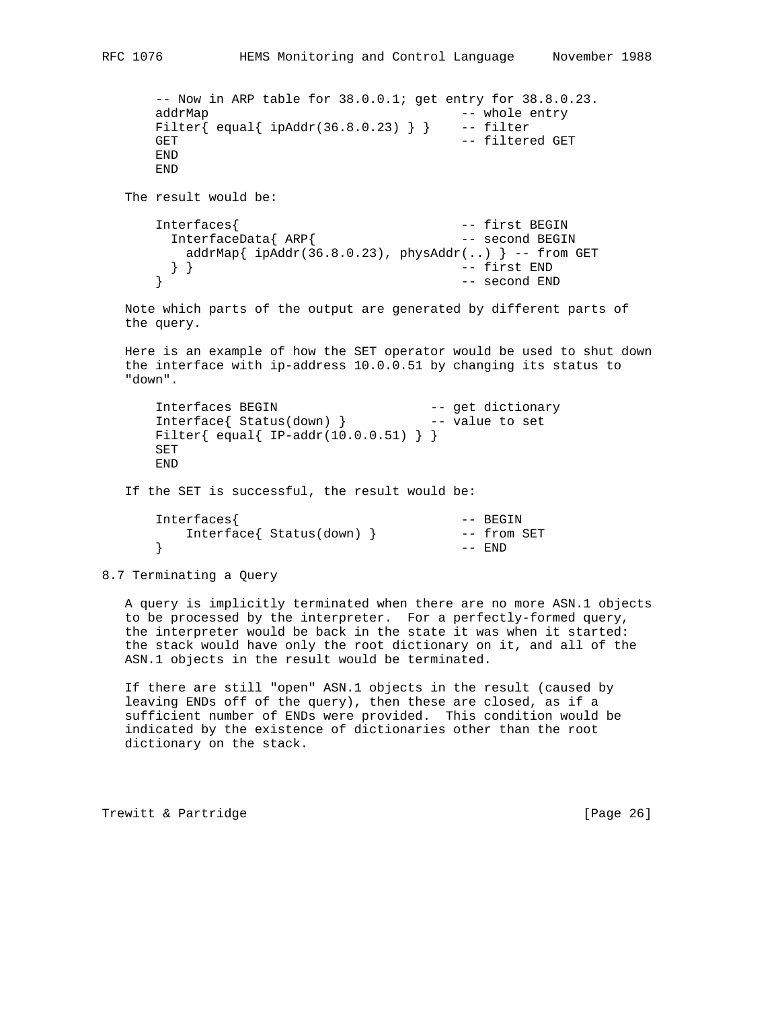```
 -- Now in ARP table for 38.0.0.1; get entry for 38.8.0.23.
      addrMap - whole entry
      Filter{ equal{ ipAddr(36.8.0.23) } } -- filter
      GET GET CONTROLL CONTROLLER THE SECOND VALUE OF THE SECOND VALUE OF THE SECOND VALUE OF THE SECOND VALUE OF THE SECOND VALUE OF THE SECOND VALUE OF THE SECOND VALUE OF THE SECOND VALUE OF THE SECOND VALUE OF THE SECOND VAL
       END
       END
   The result would be:
 Interfaces{ -- first BEGIN
 InterfaceData{ ARP{ -- second BEGIN
         addrMap\{ ipAddr(36.8.0.23), physAddr(..) \} -- from GET
      } } } -- first END<br>} } -- second ENI
                                             -- second END
   Note which parts of the output are generated by different parts of
   the query.
   Here is an example of how the SET operator would be used to shut down
   the interface with ip-address 10.0.0.51 by changing its status to
   "down".
Interfaces BEGIN -- get dictionary
 Interface{ Status(down) } -- value to set
       Filter{ equal{ IP-addr(10.0.0.51) } }
       SET
       END
   If the SET is successful, the result would be:
       Interfaces{ -- BEGIN
           Interface{ Status(down) } -- from SET
       } -- END
```

```
8.7 Terminating a Query
```
 A query is implicitly terminated when there are no more ASN.1 objects to be processed by the interpreter. For a perfectly-formed query, the interpreter would be back in the state it was when it started: the stack would have only the root dictionary on it, and all of the ASN.1 objects in the result would be terminated.

 If there are still "open" ASN.1 objects in the result (caused by leaving ENDs off of the query), then these are closed, as if a sufficient number of ENDs were provided. This condition would be indicated by the existence of dictionaries other than the root dictionary on the stack.

Trewitt & Partridge **and Execution** [Page 26]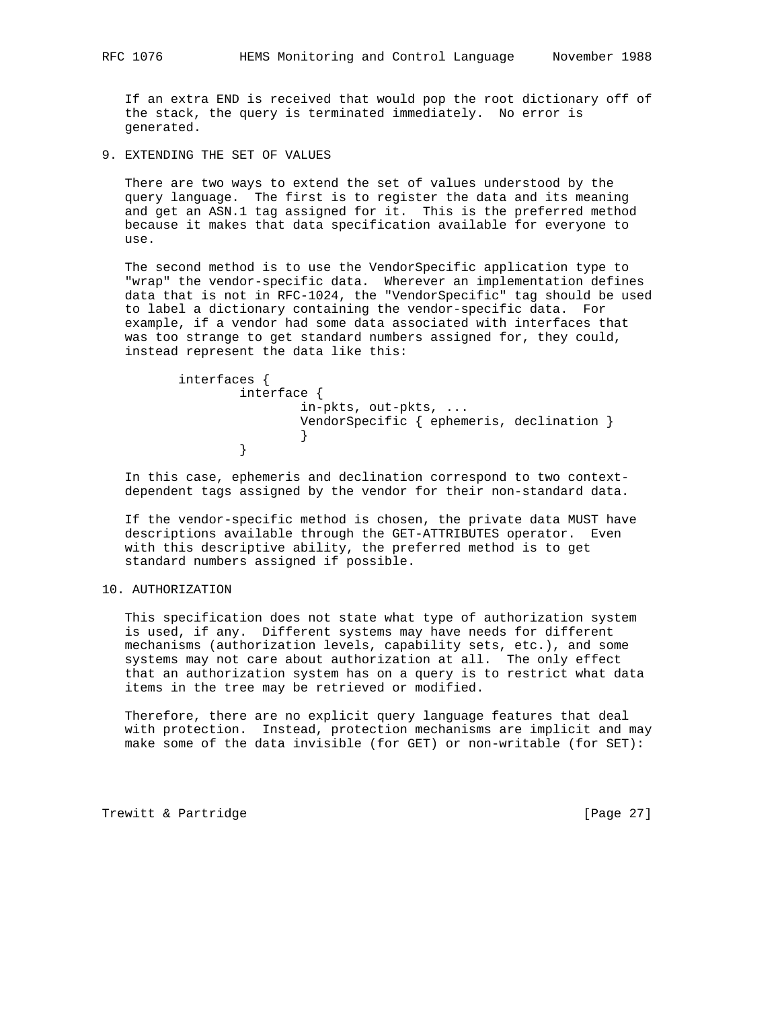If an extra END is received that would pop the root dictionary off of the stack, the query is terminated immediately. No error is generated.

9. EXTENDING THE SET OF VALUES

 There are two ways to extend the set of values understood by the query language. The first is to register the data and its meaning and get an ASN.1 tag assigned for it. This is the preferred method because it makes that data specification available for everyone to use.

 The second method is to use the VendorSpecific application type to "wrap" the vendor-specific data. Wherever an implementation defines data that is not in RFC-1024, the "VendorSpecific" tag should be used to label a dictionary containing the vendor-specific data. For example, if a vendor had some data associated with interfaces that was too strange to get standard numbers assigned for, they could, instead represent the data like this:

```
 interfaces {
              interface {
                    in-pkts, out-pkts, ...
                    VendorSpecific { ephemeris, declination }
 }
 }
```
 In this case, ephemeris and declination correspond to two context dependent tags assigned by the vendor for their non-standard data.

 If the vendor-specific method is chosen, the private data MUST have descriptions available through the GET-ATTRIBUTES operator. Even with this descriptive ability, the preferred method is to get standard numbers assigned if possible.

#### 10. AUTHORIZATION

 This specification does not state what type of authorization system is used, if any. Different systems may have needs for different mechanisms (authorization levels, capability sets, etc.), and some systems may not care about authorization at all. The only effect that an authorization system has on a query is to restrict what data items in the tree may be retrieved or modified.

 Therefore, there are no explicit query language features that deal with protection. Instead, protection mechanisms are implicit and may make some of the data invisible (for GET) or non-writable (for SET):

Trewitt & Partridge **and Execution** [Page 27]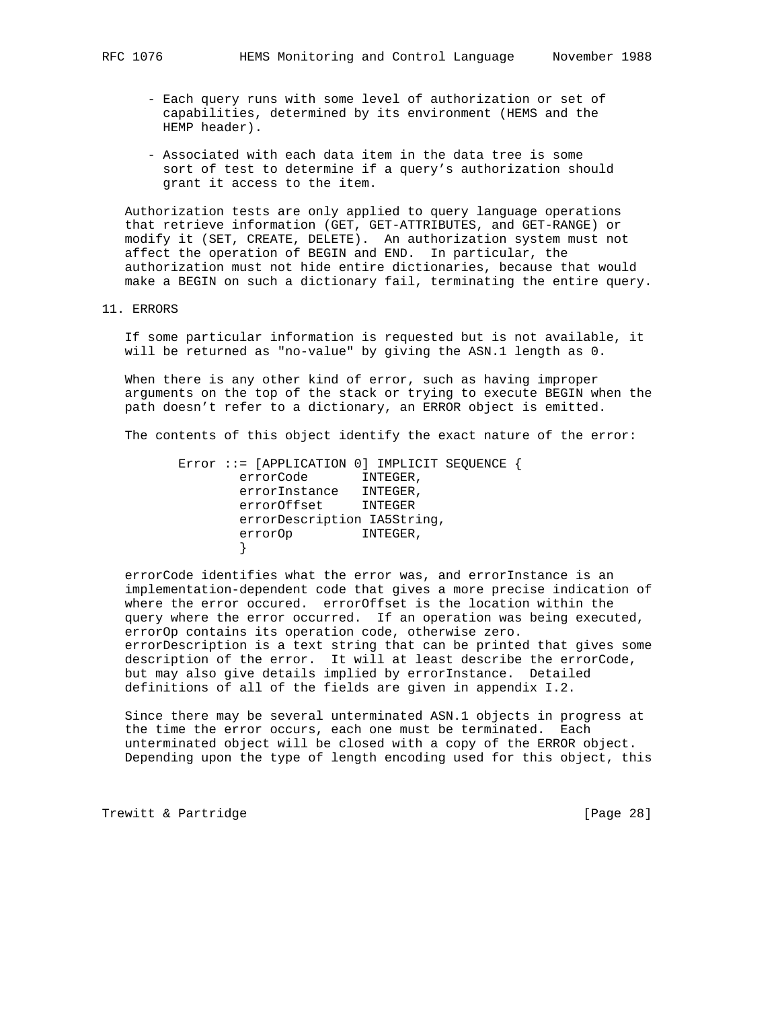- Each query runs with some level of authorization or set of capabilities, determined by its environment (HEMS and the HEMP header).
- Associated with each data item in the data tree is some sort of test to determine if a query's authorization should grant it access to the item.

 Authorization tests are only applied to query language operations that retrieve information (GET, GET-ATTRIBUTES, and GET-RANGE) or modify it (SET, CREATE, DELETE). An authorization system must not affect the operation of BEGIN and END. In particular, the authorization must not hide entire dictionaries, because that would make a BEGIN on such a dictionary fail, terminating the entire query.

11. ERRORS

 If some particular information is requested but is not available, it will be returned as "no-value" by giving the ASN.1 length as 0.

 When there is any other kind of error, such as having improper arguments on the top of the stack or trying to execute BEGIN when the path doesn't refer to a dictionary, an ERROR object is emitted.

The contents of this object identify the exact nature of the error:

 Error ::= [APPLICATION 0] IMPLICIT SEQUENCE { errorCode INTEGER, errorInstance INTEGER, errorOffset INTEGER errorDescription IA5String, errorOp INTEGER, }

 errorCode identifies what the error was, and errorInstance is an implementation-dependent code that gives a more precise indication of where the error occured. errorOffset is the location within the query where the error occurred. If an operation was being executed, errorOp contains its operation code, otherwise zero. errorDescription is a text string that can be printed that gives some description of the error. It will at least describe the errorCode, but may also give details implied by errorInstance. Detailed definitions of all of the fields are given in appendix I.2.

 Since there may be several unterminated ASN.1 objects in progress at the time the error occurs, each one must be terminated. Each unterminated object will be closed with a copy of the ERROR object. Depending upon the type of length encoding used for this object, this

Trewitt & Partridge **and Execution** [Page 28]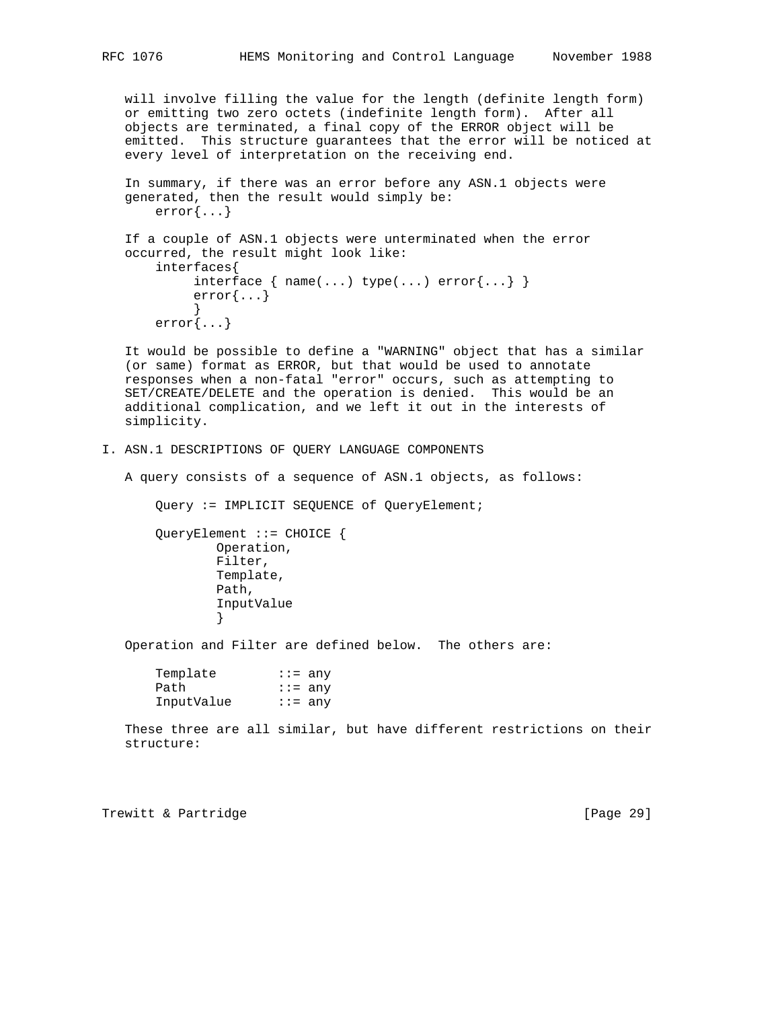will involve filling the value for the length (definite length form) or emitting two zero octets (indefinite length form). After all objects are terminated, a final copy of the ERROR object will be emitted. This structure guarantees that the error will be noticed at every level of interpretation on the receiving end.

```
 In summary, if there was an error before any ASN.1 objects were
   generated, then the result would simply be:
       error{...}
   If a couple of ASN.1 objects were unterminated when the error
   occurred, the result might look like:
       interfaces{
           interface \{ name(...) type(...) error(...) \} error{...}
 }
       error{...}
```
 It would be possible to define a "WARNING" object that has a similar (or same) format as ERROR, but that would be used to annotate responses when a non-fatal "error" occurs, such as attempting to SET/CREATE/DELETE and the operation is denied. This would be an additional complication, and we left it out in the interests of simplicity.

```
I. ASN.1 DESCRIPTIONS OF QUERY LANGUAGE COMPONENTS
```
A query consists of a sequence of ASN.1 objects, as follows:

Query := IMPLICIT SEQUENCE of QueryElement;

 QueryElement ::= CHOICE { Operation, Filter, Template, Path, InputValue }

Operation and Filter are defined below. The others are:

| Template   | $:=$ any     |
|------------|--------------|
| Path       | $\cdots$ any |
| InputValue | $:=$ any     |

 These three are all similar, but have different restrictions on their structure:

Trewitt & Partridge **and Europe Except Control** [Page 29]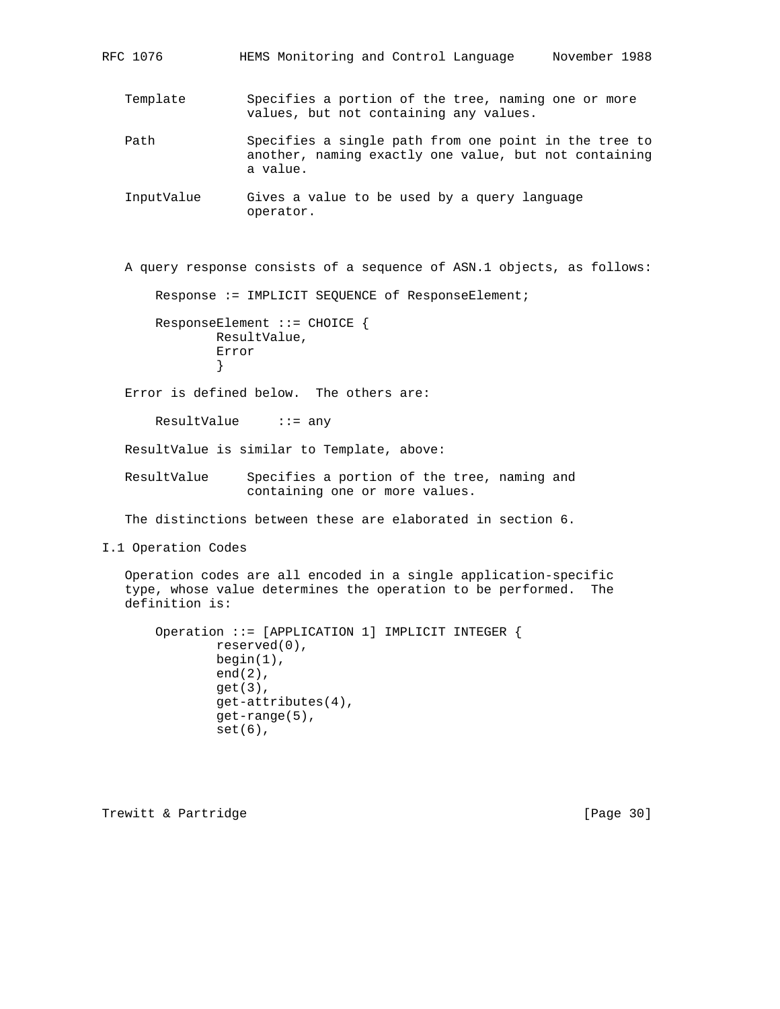RFC 1076 HEMS Monitoring and Control Language November 1988

 Template Specifies a portion of the tree, naming one or more values, but not containing any values.

 Path Specifies a single path from one point in the tree to another, naming exactly one value, but not containing a value.

 InputValue Gives a value to be used by a query language operator.

A query response consists of a sequence of ASN.1 objects, as follows:

Response := IMPLICIT SEQUENCE of ResponseElement;

 ResponseElement ::= CHOICE { ResultValue, Error }

Error is defined below. The others are:

ResultValue ::= any

ResultValue is similar to Template, above:

 ResultValue Specifies a portion of the tree, naming and containing one or more values.

The distinctions between these are elaborated in section 6.

I.1 Operation Codes

 Operation codes are all encoded in a single application-specific type, whose value determines the operation to be performed. The definition is:

```
 Operation ::= [APPLICATION 1] IMPLICIT INTEGER {
         reserved(0),
         begin(1),
         end(2),
         get(3),
         get-attributes(4),
         get-range(5),
         set(6),
```
Trewitt & Partridge **and Execution** [Page 30]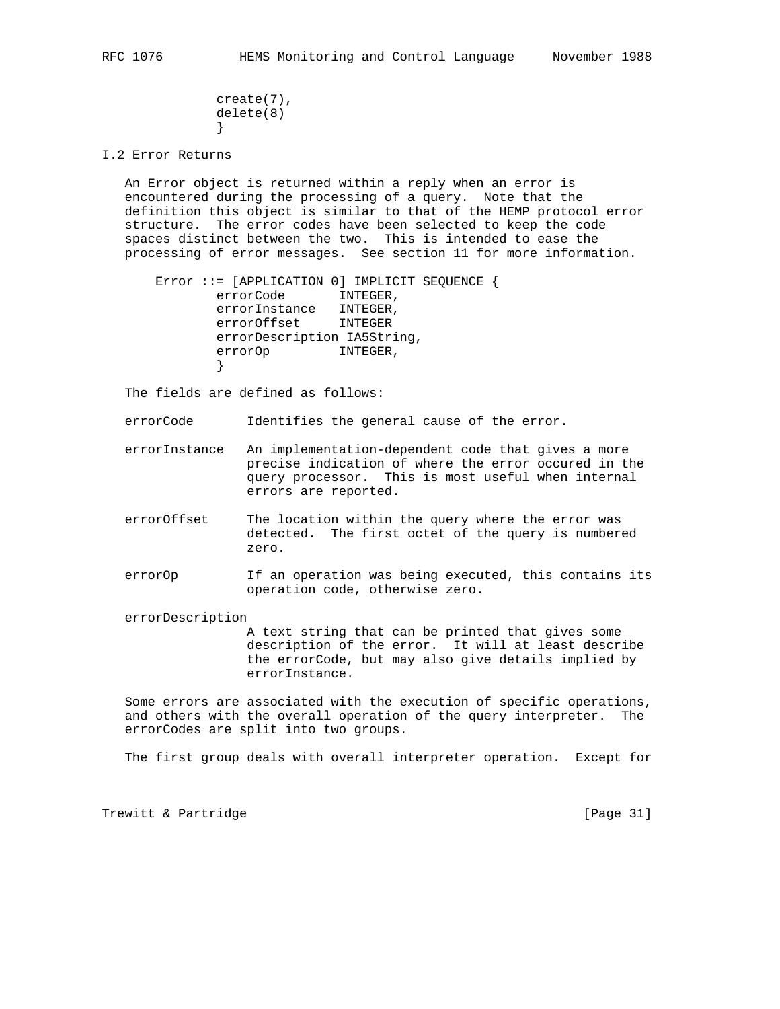```
 create(7),
           delete(8)
 }
```
I.2 Error Returns

 An Error object is returned within a reply when an error is encountered during the processing of a query. Note that the definition this object is similar to that of the HEMP protocol error structure. The error codes have been selected to keep the code spaces distinct between the two. This is intended to ease the processing of error messages. See section 11 for more information.

```
 Error ::= [APPLICATION 0] IMPLICIT SEQUENCE {
               errorCode INTEGER,
              errorInstance INTEGER,<br>errorOffset INTEGER
              errorOffset
               errorDescription IA5String,
               errorOp INTEGER,
 }
```
The fields are defined as follows:

errorCode Identifies the general cause of the error.

 errorInstance An implementation-dependent code that gives a more precise indication of where the error occured in the query processor. This is most useful when internal errors are reported.

- errorOffset The location within the query where the error was detected. The first octet of the query is numbered zero.
- errorOp If an operation was being executed, this contains its operation code, otherwise zero.

errorDescription

 A text string that can be printed that gives some description of the error. It will at least describe the errorCode, but may also give details implied by errorInstance.

 Some errors are associated with the execution of specific operations, and others with the overall operation of the query interpreter. The errorCodes are split into two groups.

The first group deals with overall interpreter operation. Except for

Trewitt & Partridge **and Execution** [Page 31]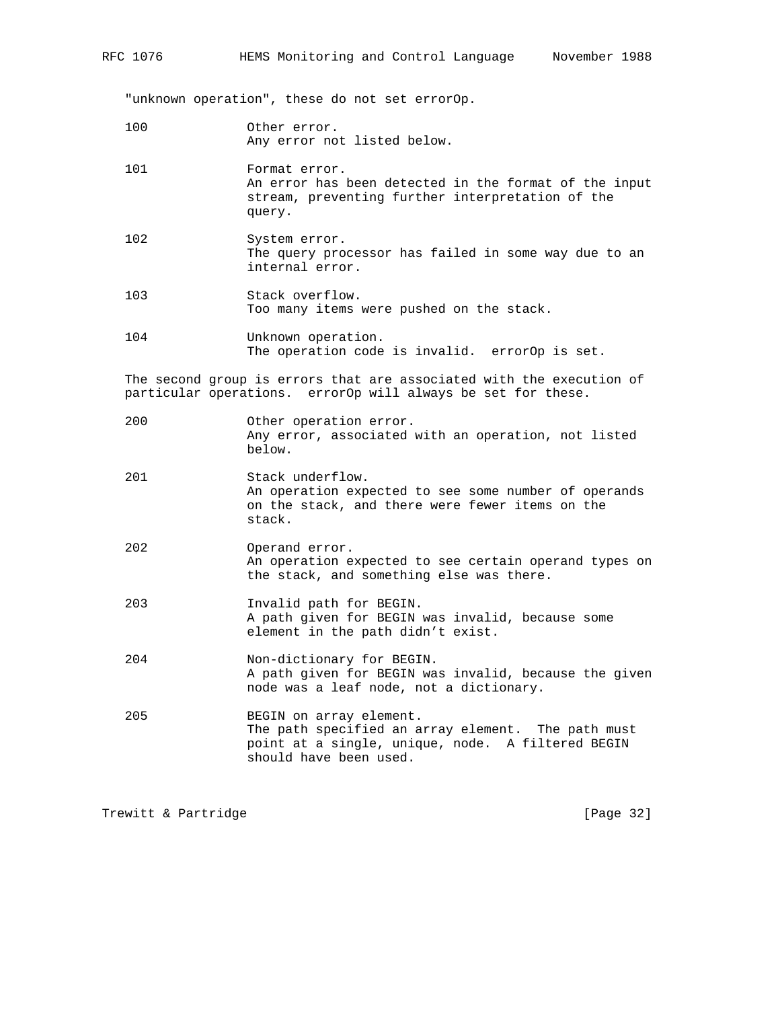"unknown operation", these do not set errorOp.

- 100 Other error. Any error not listed below.
- 101 Format error. An error has been detected in the format of the input stream, preventing further interpretation of the query.
- 102 System error. The query processor has failed in some way due to an internal error.
- 103 Stack overflow. Too many items were pushed on the stack.
- 104 Unknown operation. The operation code is invalid. errorOp is set.

 The second group is errors that are associated with the execution of particular operations. errorOp will always be set for these.

- 200 Other operation error. Any error, associated with an operation, not listed below.
- 201 Stack underflow. An operation expected to see some number of operands on the stack, and there were fewer items on the stack.
- 202 Operand error. An operation expected to see certain operand types on the stack, and something else was there.
- 203 Invalid path for BEGIN. A path given for BEGIN was invalid, because some element in the path didn't exist.
- 204 Non-dictionary for BEGIN. A path given for BEGIN was invalid, because the given node was a leaf node, not a dictionary.
- 205 BEGIN on array element. The path specified an array element. The path must point at a single, unique, node. A filtered BEGIN should have been used.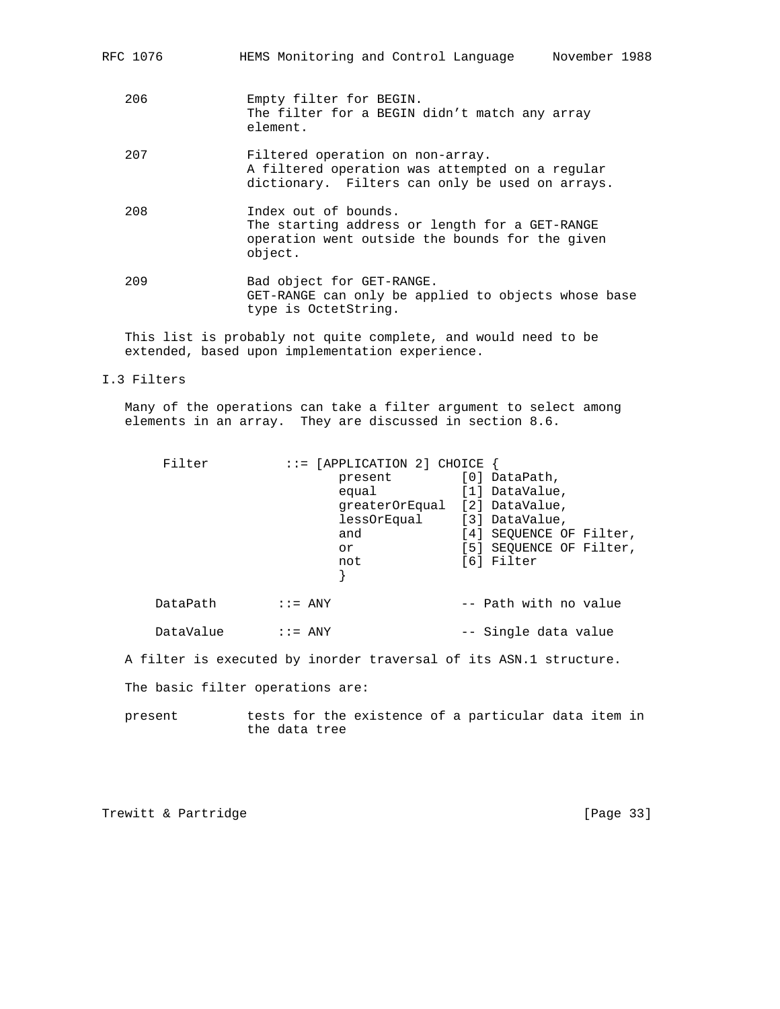| RFC 1076 | HEMS Monitoring and Control Language<br>November 1988                                                                                  |
|----------|----------------------------------------------------------------------------------------------------------------------------------------|
| 206      | Empty filter for BEGIN.<br>The filter for a BEGIN didn't match any array<br>element.                                                   |
| 207      | Filtered operation on non-array.<br>A filtered operation was attempted on a regular<br>dictionary. Filters can only be used on arrays. |
| 208      | Index out of bounds.<br>The starting address or length for a GET-RANGE<br>operation went outside the bounds for the given<br>object.   |
| 209      | Bad object for GET-RANGE.<br>GET-RANGE can only be applied to objects whose base<br>type is OctetString.                               |

 This list is probably not quite complete, and would need to be extended, based upon implementation experience.

# I.3 Filters

 Many of the operations can take a filter argument to select among elements in an array. They are discussed in section 8.6.

| Filter    | $::=$ [APPLICATION 2] CHOICE<br>present<br>equal                 | [0] DataPath,<br>[1] DataValue,                                                    |
|-----------|------------------------------------------------------------------|------------------------------------------------------------------------------------|
|           | qreaterOrEqual [2] DataValue,<br>lessOrEqual<br>and<br>or<br>not | [3] DataValue,<br>[4] SEQUENCE OF Filter,<br>[5] SEQUENCE OF Filter,<br>[6] Filter |
| DataPath  | $\therefore$ = ANY                                               | -- Path with no value                                                              |
| DataValue | $\mathbf{I} := \text{ANY}$                                       | -- Single data value                                                               |

A filter is executed by inorder traversal of its ASN.1 structure.

The basic filter operations are:

 present tests for the existence of a particular data item in the data tree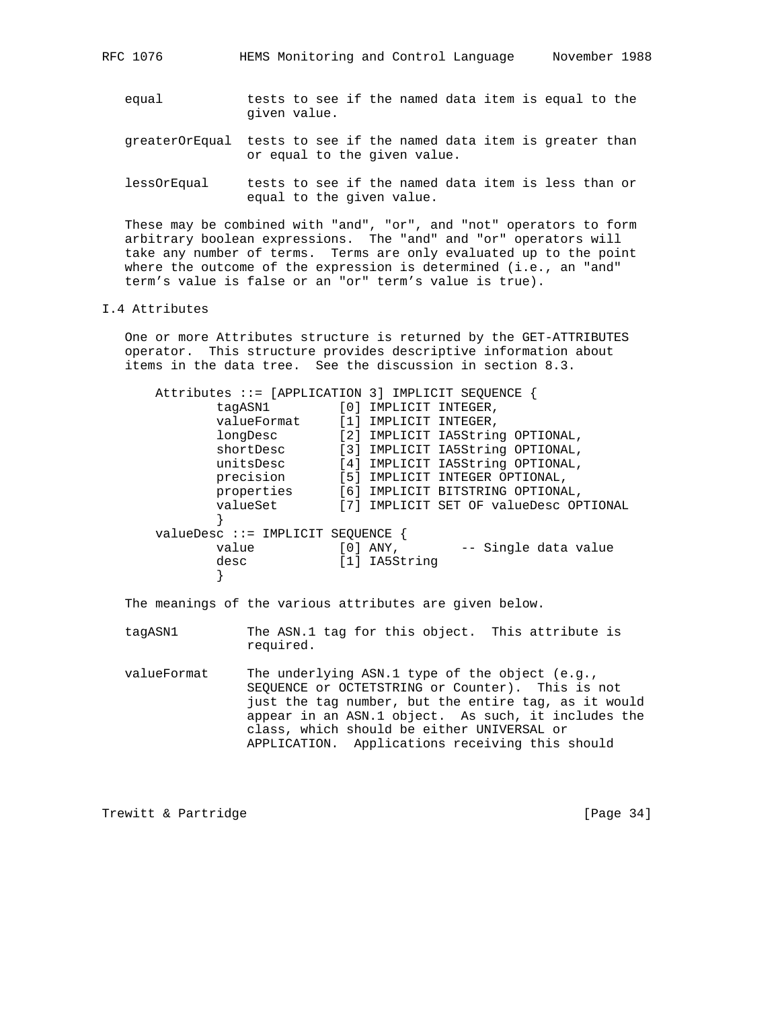- equal tests to see if the named data item is equal to the given value.
- greaterOrEqual tests to see if the named data item is greater than or equal to the given value.
- lessOrEqual tests to see if the named data item is less than or equal to the given value.

 These may be combined with "and", "or", and "not" operators to form arbitrary boolean expressions. The "and" and "or" operators will take any number of terms. Terms are only evaluated up to the point where the outcome of the expression is determined (i.e., an "and" term's value is false or an "or" term's value is true).

## I.4 Attributes

 One or more Attributes structure is returned by the GET-ATTRIBUTES operator. This structure provides descriptive information about items in the data tree. See the discussion in section 8.3.

|                                    |                   | Attributes $::=[APPLICATION 3] IMPLICIT SEQUENCE$ |
|------------------------------------|-------------------|---------------------------------------------------|
| taqASN1                            |                   | [0] IMPLICIT INTEGER,                             |
| valueFormat                        |                   | [1] IMPLICIT INTEGER,                             |
| longDesc                           | $\lceil 2 \rceil$ | IMPLICIT IA5String OPTIONAL,                      |
| shortDesc                          |                   | [3] IMPLICIT IA5String OPTIONAL,                  |
| unitsDesc                          |                   | [4] IMPLICIT IA5String OPTIONAL,                  |
| precision                          |                   | [5] IMPLICIT INTEGER OPTIONAL,                    |
| properties                         |                   | [6] IMPLICIT BITSTRING OPTIONAL,                  |
| valueSet                           | [7]               | IMPLICIT SET OF valueDesc OPTIONAL                |
|                                    |                   |                                                   |
| $valueDesc :: = IMPLICIT SEQUENCE$ |                   |                                                   |
| value                              |                   | $[0]$ ANY,<br>-- Single data value                |
| desc                               |                   | [1] IA5String                                     |
|                                    |                   |                                                   |

The meanings of the various attributes are given below.

- tagASN1 The ASN.1 tag for this object. This attribute is required.
- valueFormat The underlying ASN.1 type of the object (e.g., SEQUENCE or OCTETSTRING or Counter). This is not just the tag number, but the entire tag, as it would appear in an ASN.1 object. As such, it includes the class, which should be either UNIVERSAL or APPLICATION. Applications receiving this should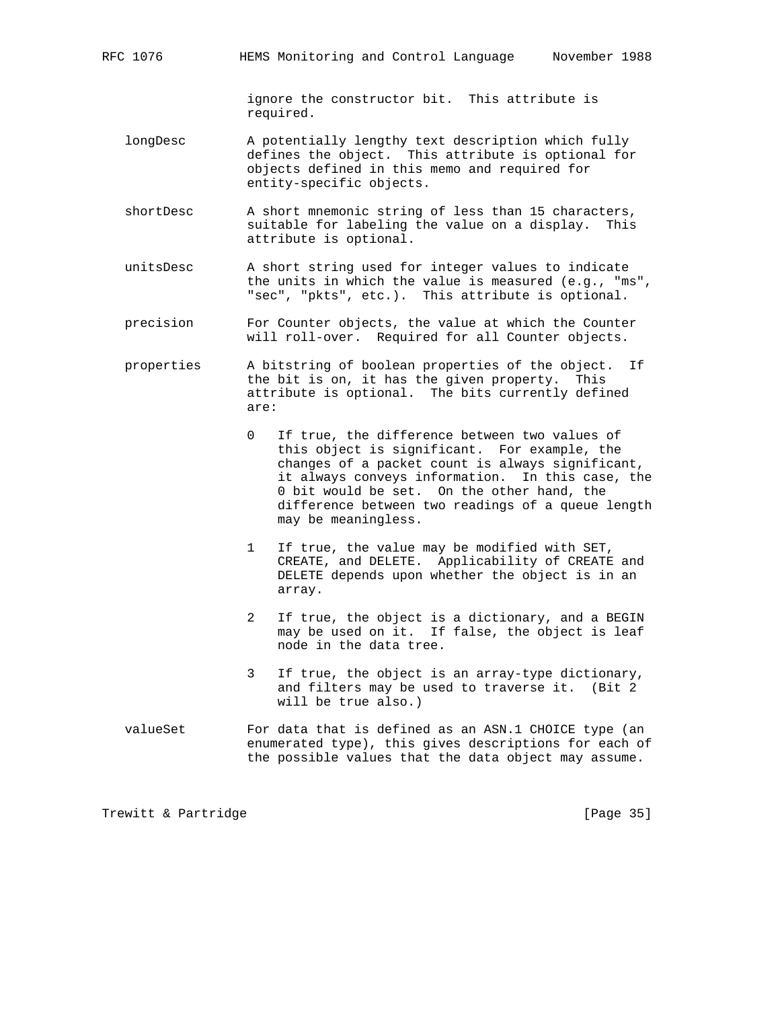ignore the constructor bit. This attribute is required.

- longDesc A potentially lengthy text description which fully defines the object. This attribute is optional for objects defined in this memo and required for entity-specific objects.
- shortDesc A short mnemonic string of less than 15 characters, suitable for labeling the value on a display. This attribute is optional.
- unitsDesc A short string used for integer values to indicate the units in which the value is measured (e.g., "ms", "sec", "pkts", etc.). This attribute is optional.
- precision For Counter objects, the value at which the Counter will roll-over. Required for all Counter objects.
- properties A bitstring of boolean properties of the object. If the bit is on, it has the given property. This attribute is optional. The bits currently defined are:
	- 0 If true, the difference between two values of this object is significant. For example, the changes of a packet count is always significant, it always conveys information. In this case, the 0 bit would be set. On the other hand, the difference between two readings of a queue length may be meaningless.
	- 1 If true, the value may be modified with SET, CREATE, and DELETE. Applicability of CREATE and DELETE depends upon whether the object is in an array.
	- 2 If true, the object is a dictionary, and a BEGIN may be used on it. If false, the object is leaf node in the data tree.
	- 3 If true, the object is an array-type dictionary, and filters may be used to traverse it. (Bit 2 will be true also.)
- valueSet For data that is defined as an ASN.1 CHOICE type (an enumerated type), this gives descriptions for each of the possible values that the data object may assume.

Trewitt & Partridge **and Europe Except Control** [Page 35]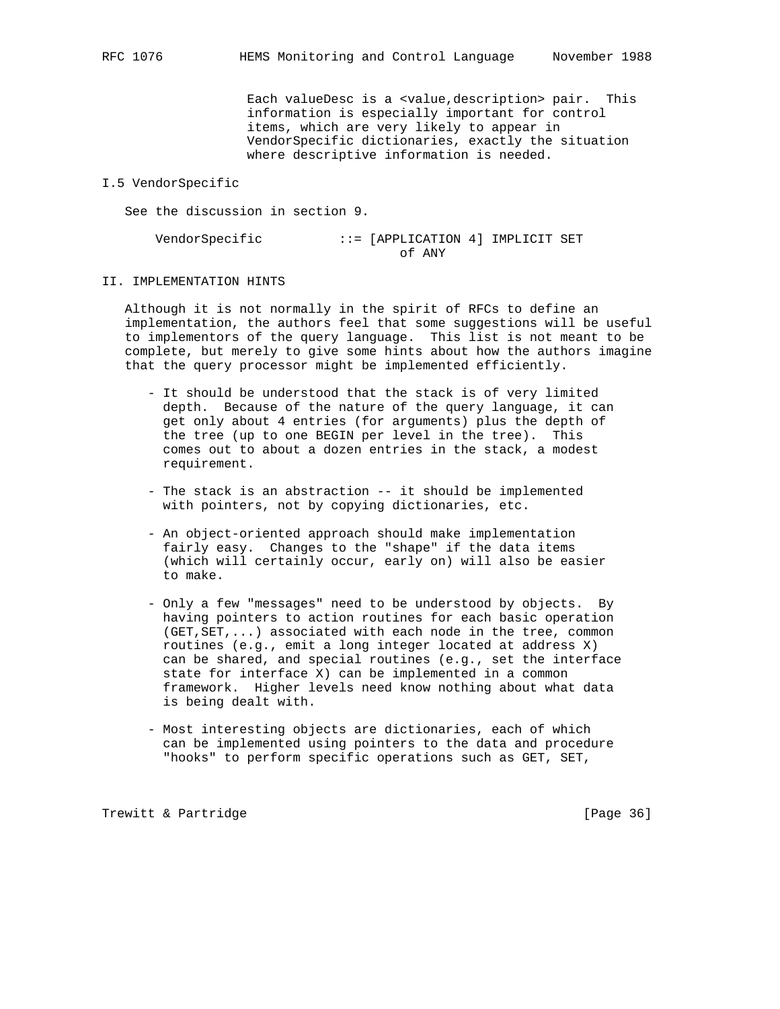Each valueDesc is a <value,description> pair. This information is especially important for control items, which are very likely to appear in VendorSpecific dictionaries, exactly the situation where descriptive information is needed.

#### I.5 VendorSpecific

See the discussion in section 9.

 VendorSpecific ::= [APPLICATION 4] IMPLICIT SET of ANY

#### II. IMPLEMENTATION HINTS

 Although it is not normally in the spirit of RFCs to define an implementation, the authors feel that some suggestions will be useful to implementors of the query language. This list is not meant to be complete, but merely to give some hints about how the authors imagine that the query processor might be implemented efficiently.

- It should be understood that the stack is of very limited depth. Because of the nature of the query language, it can get only about 4 entries (for arguments) plus the depth of the tree (up to one BEGIN per level in the tree). This comes out to about a dozen entries in the stack, a modest requirement.
- The stack is an abstraction -- it should be implemented with pointers, not by copying dictionaries, etc.
- An object-oriented approach should make implementation fairly easy. Changes to the "shape" if the data items (which will certainly occur, early on) will also be easier to make.
- Only a few "messages" need to be understood by objects. By having pointers to action routines for each basic operation (GET,SET,...) associated with each node in the tree, common routines (e.g., emit a long integer located at address X) can be shared, and special routines (e.g., set the interface state for interface X) can be implemented in a common framework. Higher levels need know nothing about what data is being dealt with.
- Most interesting objects are dictionaries, each of which can be implemented using pointers to the data and procedure "hooks" to perform specific operations such as GET, SET,

Trewitt & Partridge **and Communist** [Page 36]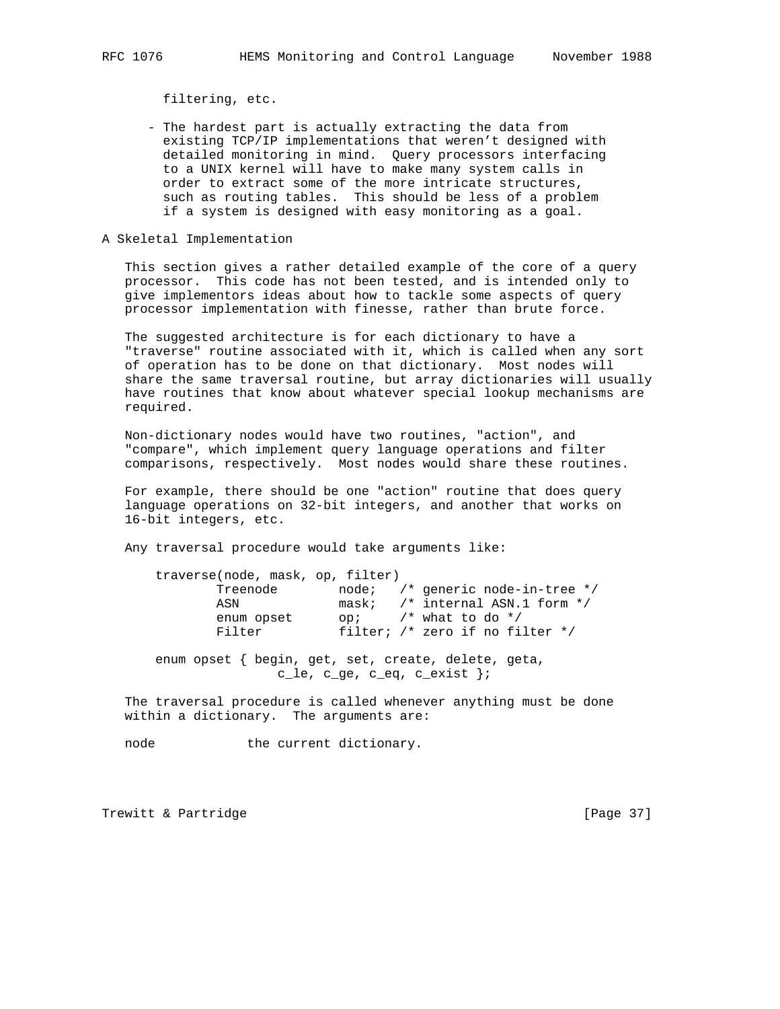filtering, etc.

- The hardest part is actually extracting the data from existing TCP/IP implementations that weren't designed with detailed monitoring in mind. Query processors interfacing to a UNIX kernel will have to make many system calls in order to extract some of the more intricate structures, such as routing tables. This should be less of a problem if a system is designed with easy monitoring as a goal.
- A Skeletal Implementation

 This section gives a rather detailed example of the core of a query processor. This code has not been tested, and is intended only to give implementors ideas about how to tackle some aspects of query processor implementation with finesse, rather than brute force.

 The suggested architecture is for each dictionary to have a "traverse" routine associated with it, which is called when any sort of operation has to be done on that dictionary. Most nodes will share the same traversal routine, but array dictionaries will usually have routines that know about whatever special lookup mechanisms are required.

 Non-dictionary nodes would have two routines, "action", and "compare", which implement query language operations and filter comparisons, respectively. Most nodes would share these routines.

 For example, there should be one "action" routine that does query language operations on 32-bit integers, and another that works on 16-bit integers, etc.

Any traversal procedure would take arguments like:

| traverse(node, mask, op, filter) |      |                                     |
|----------------------------------|------|-------------------------------------|
| Treenode                         |      | $node:$ /* generic node-in-tree */  |
| ASN                              |      | mask; $/*$ internal ASN.1 form $*/$ |
| enum opset                       | OD i | $\prime$ * what to do */            |
| Filter                           |      | filter; $/*$ zero if no filter $*/$ |
|                                  |      |                                     |

 enum opset { begin, get, set, create, delete, geta, c\_le, c\_ge, c\_eq, c\_exist };

 The traversal procedure is called whenever anything must be done within a dictionary. The arguments are:

node the current dictionary.

Trewitt & Partridge **and Execution** [Page 37]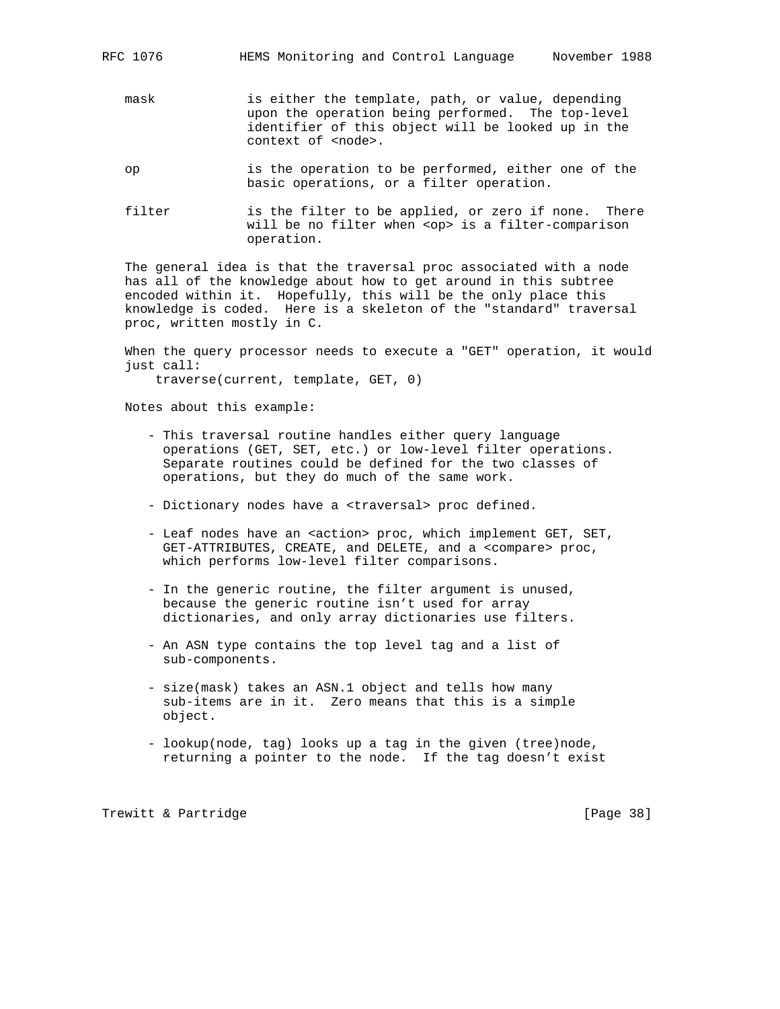- mask is either the template, path, or value, depending upon the operation being performed. The top-level identifier of this object will be looked up in the context of <node>.
- op is the operation to be performed, either one of the basic operations, or a filter operation.
- filter is the filter to be applied, or zero if none. There will be no filter when <op> is a filter-comparison operation.

 The general idea is that the traversal proc associated with a node has all of the knowledge about how to get around in this subtree encoded within it. Hopefully, this will be the only place this knowledge is coded. Here is a skeleton of the "standard" traversal proc, written mostly in C.

 When the query processor needs to execute a "GET" operation, it would just call:

traverse(current, template, GET, 0)

Notes about this example:

- This traversal routine handles either query language operations (GET, SET, etc.) or low-level filter operations. Separate routines could be defined for the two classes of operations, but they do much of the same work.
- Dictionary nodes have a <traversal> proc defined.
- Leaf nodes have an <action> proc, which implement GET, SET, GET-ATTRIBUTES, CREATE, and DELETE, and a <compare> proc, which performs low-level filter comparisons.
- In the generic routine, the filter argument is unused, because the generic routine isn't used for array dictionaries, and only array dictionaries use filters.
- An ASN type contains the top level tag and a list of sub-components.
- size(mask) takes an ASN.1 object and tells how many sub-items are in it. Zero means that this is a simple object.
- lookup(node, tag) looks up a tag in the given (tree)node, returning a pointer to the node. If the tag doesn't exist

Trewitt & Partridge **and Communist** [Page 38]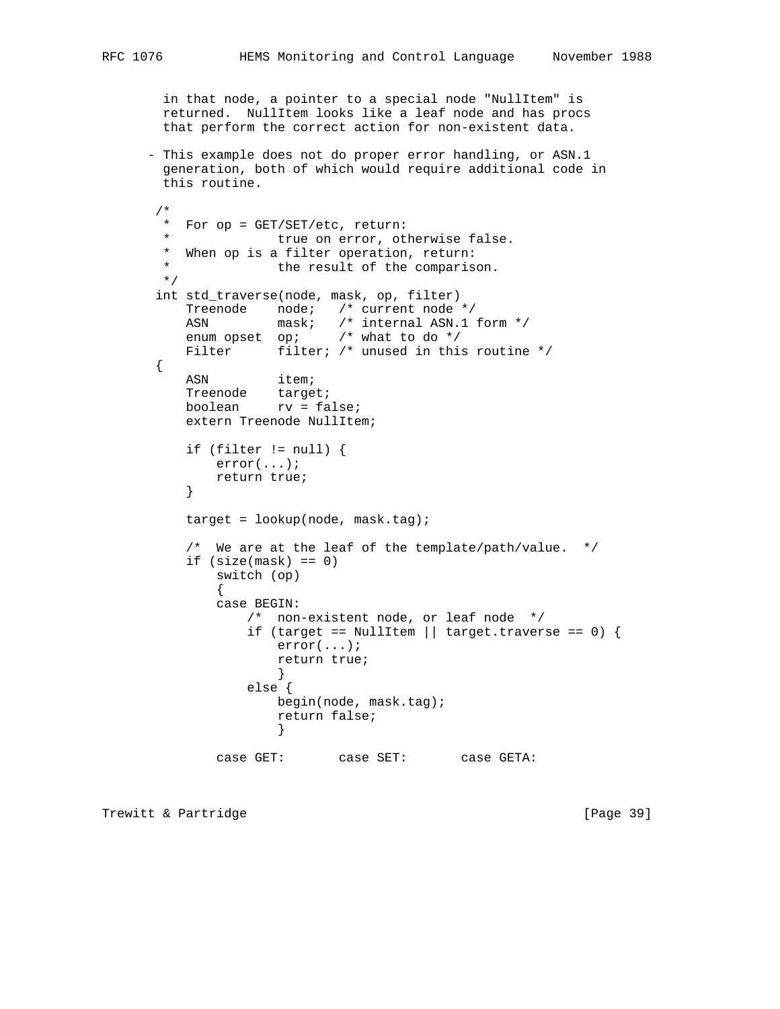in that node, a pointer to a special node "NullItem" is returned. NullItem looks like a leaf node and has procs that perform the correct action for non-existent data.

 - This example does not do proper error handling, or ASN.1 generation, both of which would require additional code in this routine.

```
 /*
       * For op = GET/SET/etc, return:
                  true on error, otherwise false.
       * When op is a filter operation, return:
                  the result of the comparison.
       */
      int std_traverse(node, mask, op, filter)
          Treenode node; /* current node */
ASN mask; /* internal ASN.1 form */
 enum opset op; /* what to do */
         Filter filter; /* unused in this routine */
       {
         ASN item;
          Treenode target;
          boolean rv = false;
          extern Treenode NullItem;
         if (filter != null) {
             error(...);
         return true;
 }
         target = lookup(node, mask.tag); /* We are at the leaf of the template/path/value. */
         if (size(maxk) == 0) switch (op)
 {
             case BEGIN:
                 /* non-existent node, or leaf node */
                if (target == NullItem || target.traverse == 0) {
                    error(...);
                    return true;
 }
                 else {
                    begin(node, mask.tag);
                    return false;
 }
             case GET: case SET: case GETA:
```
Trewitt & Partridge **and Execution** [Page 39]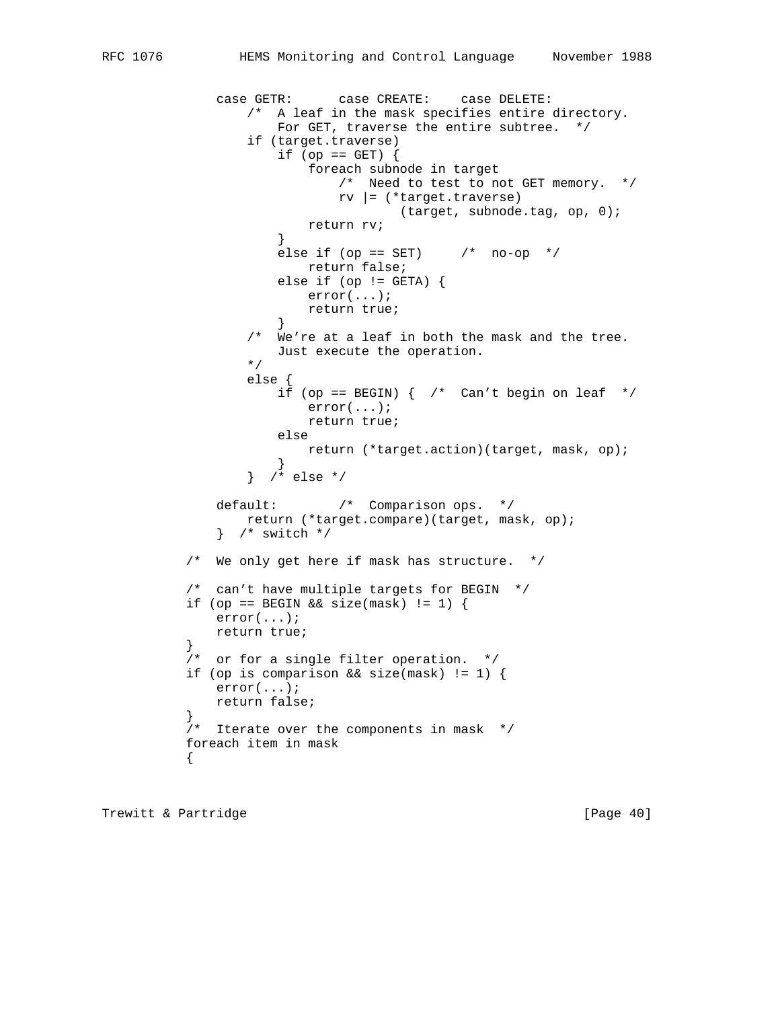```
 case GETR: case CREATE: case DELETE:
                 /* A leaf in the mask specifies entire directory.
                   For GET, traverse the entire subtree. */ if (target.traverse)
                    if (op == GET) {
                        foreach subnode in target
                           /* Need to test to not GET memory. */
                          rv |= (*target.traverse)
                                 (target, subnode.tag, op, 0);
                    return rv;<br>}
 }
                   else if (op == SET) /* no-op */ return false;
                   else if (op != GETA) {
                        error(...);
                    return true;
 }
                 /* We're at a leaf in both the mask and the tree.
                Just execute the operation.<br>*/\star/ else {
                   if (op == BEGIN) { /* Can't begin on leaf */ error(...);
                       return true;
                     else
                    return (*target.action)(target, mask, op);<br>}
 }
                 } /* else */
             default: /* Comparison ops. */
```

```
 return (*target.compare)(target, mask, op);
              } /* switch */
           /* We only get here if mask has structure. */
           /* can't have multiple targets for BEGIN */
          if (op == BEGIN && size(mask) != 1) {
               error(...);
               return true;
 }
           /* or for a single filter operation. */
           if (op is comparison && size(mask) != 1) {
              error(...);
              return false;
```

```
 }
         /* Iterate over the components in mask */
         foreach item in mask
\{
```
Trewitt & Partridge **and Communist Communist Communist Communist Communist Communist Communist Communist Communist Communist Communist Communist Communist Communist Communist Communist Communist Communist Communist Communi**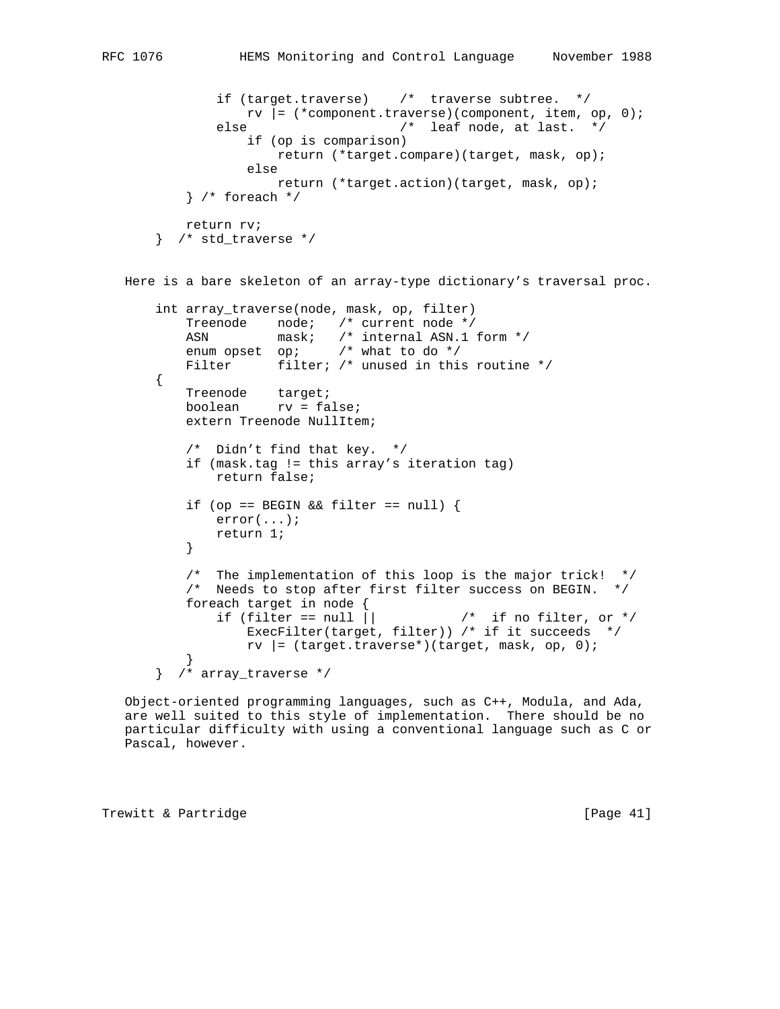```
 if (target.traverse) /* traverse subtree. */
                 rv |= (*component.traverse)(component, item, op, 0);
              else /* leaf node, at last. */ if (op is comparison)
                       return (*target.compare)(target, mask, op);
                   else
                       return (*target.action)(target, mask, op);
           } /* foreach */
          return rv;
       } /* std_traverse */
   Here is a bare skeleton of an array-type dictionary's traversal proc.
       int array_traverse(node, mask, op, filter)
           Treenode node; /* current node */
          ASN mask; /* internal ASN.1 form */
           enum opset op; /* what to do */
          Filter filter; /* unused in this routine */
       {
           Treenode target;
           boolean rv = false;
           extern Treenode NullItem;
           /* Didn't find that key. */
           if (mask.tag != this array's iteration tag)
               return false;
          if (op == BEGIN && filter == null) {
              error(...);
          return 1;<br>}
 }
           /* The implementation of this loop is the major trick! */
           /* Needs to stop after first filter success on BEGIN. */
          foreach target in node {<br>if (filter == null ||
                                            y^* if no filter, or */
                  ExecFilter(target, filter)) /* if it succeeds */
                  rv |= (target.traverse*)(target, mask, op, 0);
 }
       } /* array_traverse */
```
 Object-oriented programming languages, such as C++, Modula, and Ada, are well suited to this style of implementation. There should be no particular difficulty with using a conventional language such as C or Pascal, however.

Trewitt & Partridge **and Communist** [Page 41]